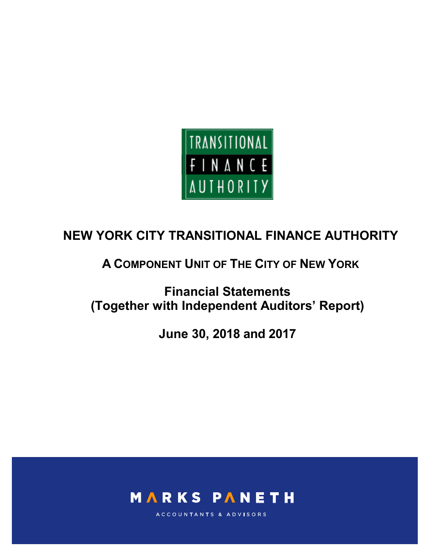

# **A COMPONENT UNIT OF THE CITY OF NEW YORK**

**Financial Statements (Together with Independent Auditors' Report)**

**June 30, 2018 and 2017**



ACCOUNTANTS & ADVISORS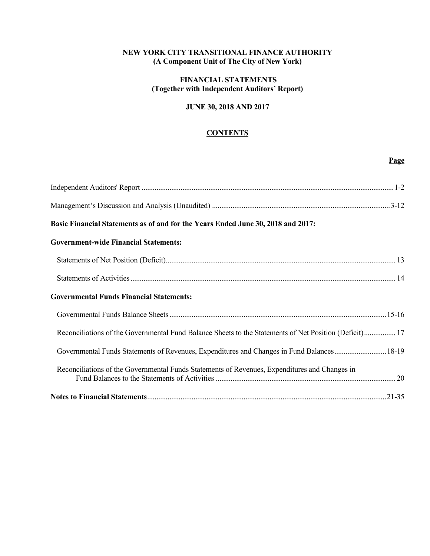## **NEW YORK CITY TRANSITIONAL FINANCE AUTHORITY (A Component Unit of The City of New York)**

## **FINANCIAL STATEMENTS (Together with Independent Auditors' Report)**

## **JUNE 30, 2018 AND 2017**

## **CONTENTS**

**Page**

| Basic Financial Statements as of and for the Years Ended June 30, 2018 and 2017:                       |  |
|--------------------------------------------------------------------------------------------------------|--|
| <b>Government-wide Financial Statements:</b>                                                           |  |
|                                                                                                        |  |
|                                                                                                        |  |
| <b>Governmental Funds Financial Statements:</b>                                                        |  |
|                                                                                                        |  |
| Reconciliations of the Governmental Fund Balance Sheets to the Statements of Net Position (Deficit) 17 |  |
| Governmental Funds Statements of Revenues, Expenditures and Changes in Fund Balances18-19              |  |
| Reconciliations of the Governmental Funds Statements of Revenues, Expenditures and Changes in          |  |
|                                                                                                        |  |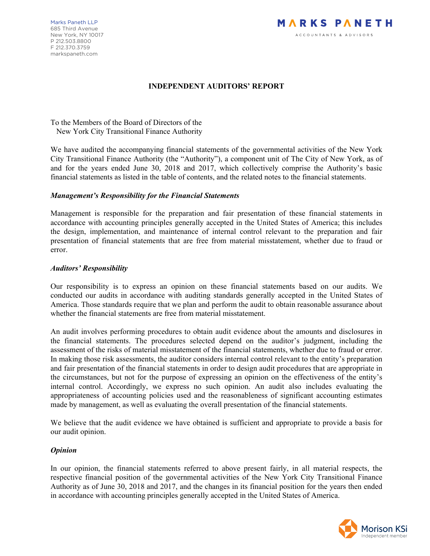

## **INDEPENDENT AUDITORS' REPORT**

To the Members of the Board of Directors of the New York City Transitional Finance Authority

We have audited the accompanying financial statements of the governmental activities of the New York City Transitional Finance Authority (the "Authority"), a component unit of The City of New York, as of and for the years ended June 30, 2018 and 2017, which collectively comprise the Authority's basic financial statements as listed in the table of contents, and the related notes to the financial statements.

### *Management's Responsibility for the Financial Statements*

Management is responsible for the preparation and fair presentation of these financial statements in accordance with accounting principles generally accepted in the United States of America; this includes the design, implementation, and maintenance of internal control relevant to the preparation and fair presentation of financial statements that are free from material misstatement, whether due to fraud or error.

### *Auditors' Responsibility*

Our responsibility is to express an opinion on these financial statements based on our audits. We conducted our audits in accordance with auditing standards generally accepted in the United States of America. Those standards require that we plan and perform the audit to obtain reasonable assurance about whether the financial statements are free from material misstatement.

An audit involves performing procedures to obtain audit evidence about the amounts and disclosures in the financial statements. The procedures selected depend on the auditor's judgment, including the assessment of the risks of material misstatement of the financial statements, whether due to fraud or error. In making those risk assessments, the auditor considers internal control relevant to the entity's preparation and fair presentation of the financial statements in order to design audit procedures that are appropriate in the circumstances, but not for the purpose of expressing an opinion on the effectiveness of the entity's internal control. Accordingly, we express no such opinion. An audit also includes evaluating the appropriateness of accounting policies used and the reasonableness of significant accounting estimates made by management, as well as evaluating the overall presentation of the financial statements.

We believe that the audit evidence we have obtained is sufficient and appropriate to provide a basis for our audit opinion.

### *Opinion*

In our opinion, the financial statements referred to above present fairly, in all material respects, the respective financial position of the governmental activities of the New York City Transitional Finance Authority as of June 30, 2018 and 2017, and the changes in its financial position for the years then ended in accordance with accounting principles generally accepted in the United States of America.

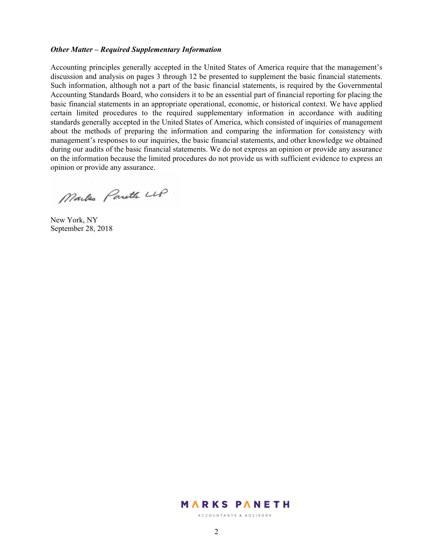### *Other Matter – Required Supplementary Information*

Accounting principles generally accepted in the United States of America require that the management's discussion and analysis on pages 3 through 12 be presented to supplement the basic financial statements. Such information, although not a part of the basic financial statements, is required by the Governmental Accounting Standards Board, who considers it to be an essential part of financial reporting for placing the basic financial statements in an appropriate operational, economic, or historical context. We have applied certain limited procedures to the required supplementary information in accordance with auditing standards generally accepted in the United States of America, which consisted of inquiries of management about the methods of preparing the information and comparing the information for consistency with management's responses to our inquiries, the basic financial statements, and other knowledge we obtained during our audits of the basic financial statements. We do not express an opinion or provide any assurance on the information because the limited procedures do not provide us with sufficient evidence to express an opinion or provide any assurance.

Marke Pareth LLP

New York, NY September 28, 2018

## **MARKS PANETH**

ACCOUNTANTS & ADVISORS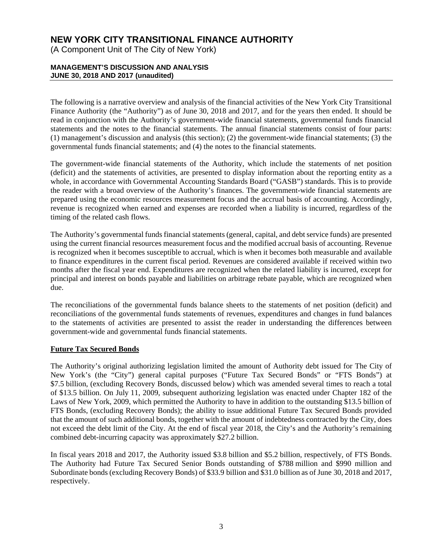(A Component Unit of The City of New York)

### **MANAGEMENT'S DISCUSSION AND ANALYSIS JUNE 30, 2018 AND 2017 (unaudited)**

The following is a narrative overview and analysis of the financial activities of the New York City Transitional Finance Authority (the "Authority") as of June 30, 2018 and 2017, and for the years then ended. It should be read in conjunction with the Authority's government-wide financial statements, governmental funds financial statements and the notes to the financial statements. The annual financial statements consist of four parts: (1) management's discussion and analysis (this section); (2) the government-wide financial statements; (3) the governmental funds financial statements; and (4) the notes to the financial statements.

The government-wide financial statements of the Authority, which include the statements of net position (deficit) and the statements of activities, are presented to display information about the reporting entity as a whole, in accordance with Governmental Accounting Standards Board ("GASB") standards. This is to provide the reader with a broad overview of the Authority's finances. The government-wide financial statements are prepared using the economic resources measurement focus and the accrual basis of accounting. Accordingly, revenue is recognized when earned and expenses are recorded when a liability is incurred, regardless of the timing of the related cash flows.

The Authority's governmental funds financial statements (general, capital, and debt service funds) are presented using the current financial resources measurement focus and the modified accrual basis of accounting. Revenue is recognized when it becomes susceptible to accrual, which is when it becomes both measurable and available to finance expenditures in the current fiscal period. Revenues are considered available if received within two months after the fiscal year end. Expenditures are recognized when the related liability is incurred, except for principal and interest on bonds payable and liabilities on arbitrage rebate payable, which are recognized when due.

The reconciliations of the governmental funds balance sheets to the statements of net position (deficit) and reconciliations of the governmental funds statements of revenues, expenditures and changes in fund balances to the statements of activities are presented to assist the reader in understanding the differences between government-wide and governmental funds financial statements.

## **Future Tax Secured Bonds**

The Authority's original authorizing legislation limited the amount of Authority debt issued for The City of New York's (the "City") general capital purposes ("Future Tax Secured Bonds" or "FTS Bonds") at \$7.5 billion, (excluding Recovery Bonds, discussed below) which was amended several times to reach a total of \$13.5 billion. On July 11, 2009, subsequent authorizing legislation was enacted under Chapter 182 of the Laws of New York, 2009, which permitted the Authority to have in addition to the outstanding \$13.5 billion of FTS Bonds, (excluding Recovery Bonds); the ability to issue additional Future Tax Secured Bonds provided that the amount of such additional bonds, together with the amount of indebtedness contracted by the City, does not exceed the debt limit of the City. At the end of fiscal year 2018, the City's and the Authority's remaining combined debt-incurring capacity was approximately \$27.2 billion.

In fiscal years 2018 and 2017, the Authority issued \$3.8 billion and \$5.2 billion, respectively, of FTS Bonds. The Authority had Future Tax Secured Senior Bonds outstanding of \$788 million and \$990 million and Subordinate bonds (excluding Recovery Bonds) of \$33.9 billion and \$31.0 billion as of June 30, 2018 and 2017, respectively.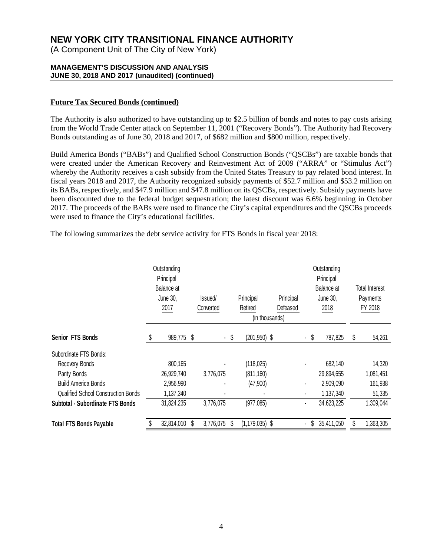(A Component Unit of The City of New York)

### **MANAGEMENT'S DISCUSSION AND ANALYSIS JUNE 30, 2018 AND 2017 (unaudited) (continued)**

## **Future Tax Secured Bonds (continued)**

The Authority is also authorized to have outstanding up to \$2.5 billion of bonds and notes to pay costs arising from the World Trade Center attack on September 11, 2001 ("Recovery Bonds"). The Authority had Recovery Bonds outstanding as of June 30, 2018 and 2017, of \$682 million and \$800 million, respectively.

Build America Bonds ("BABs") and Qualified School Construction Bonds ("QSCBs") are taxable bonds that were created under the American Recovery and Reinvestment Act of 2009 ("ARRA" or "Stimulus Act") whereby the Authority receives a cash subsidy from the United States Treasury to pay related bond interest. In fiscal years 2018 and 2017, the Authority recognized subsidy payments of \$52.7 million and \$53.2 million on its BABs, respectively, and \$47.9 million and \$47.8 million on its QSCBs, respectively. Subsidy payments have been discounted due to the federal budget sequestration; the latest discount was 6.6% beginning in October 2017. The proceeds of the BABs were used to finance the City's capital expenditures and the QSCBs proceeds were used to finance the City's educational facilities.

The following summarizes the debt service activity for FTS Bonds in fiscal year 2018:

|                                            |  | Outstanding<br>Principal<br>Balance at<br>June 30,<br>2017 |   | lssued/<br>Converted |      | Principal<br>Retired<br>(in thousands) | Principal<br>Defeased |                                | Outstanding<br>Principal<br>Balance at<br>June 30,<br>2018 | <b>Total Interest</b><br>Payments<br>FY 2018 |
|--------------------------------------------|--|------------------------------------------------------------|---|----------------------|------|----------------------------------------|-----------------------|--------------------------------|------------------------------------------------------------|----------------------------------------------|
| <b>Senior FTS Bonds</b>                    |  | 989,775                                                    | S |                      | - \$ | $(201, 950)$ \$                        |                       | \$<br>$\sim$                   | 787,825                                                    | \$<br>54,261                                 |
| Subordinate FTS Bonds:                     |  |                                                            |   |                      |      |                                        |                       |                                |                                                            |                                              |
| Recovery Bonds                             |  | 800,165                                                    |   |                      |      | (118, 025)                             |                       |                                | 682,140                                                    | 14,320                                       |
| Parity Bonds                               |  | 26,929,740                                                 |   | 3,776,075            |      | (811, 160)                             |                       |                                | 29,894,655                                                 | 1,081,451                                    |
| <b>Build America Bonds</b>                 |  | 2,956,990                                                  |   |                      |      | (47,900)                               |                       |                                | 2,909,090                                                  | 161,938                                      |
| <b>Qualified School Construction Bonds</b> |  | 1,137,340                                                  |   |                      |      |                                        |                       |                                | 1,137,340                                                  | 51,335                                       |
| Subtotal - Subordinate FTS Bonds           |  | 31,824,235                                                 |   | 3,776,075            |      | (977, 085)                             |                       | $\blacksquare$                 | 34,623,225                                                 | 1,309,044                                    |
| <b>Total FTS Bonds Payable</b>             |  | 32,814,010                                                 | S | 3,776,075            | S    | $(1, 179, 035)$ \$                     |                       | S.<br>$\overline{\phantom{0}}$ | 35,411,050                                                 | 1,363,305                                    |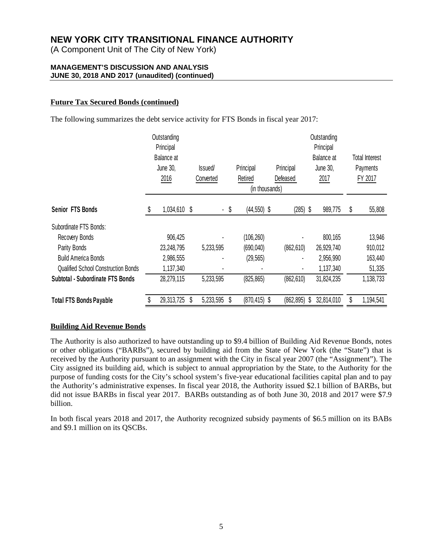(A Component Unit of The City of New York)

### **MANAGEMENT'S DISCUSSION AND ANALYSIS JUNE 30, 2018 AND 2017 (unaudited) (continued)**

## **Future Tax Secured Bonds (continued)**

The following summarizes the debt service activity for FTS Bonds in fiscal year 2017:

|                                            | Outstanding<br>Principal<br>Balance at<br>June 30,<br>2016 | <b>Issued</b><br>Converted |      | Principal<br>Retired<br>(in thousands) | Principal<br>Defeased | Outstanding<br>Principal | Balance at<br><b>June 30,</b><br>2017 | <b>Total Interest</b><br>Payments<br>FY 2017 |
|--------------------------------------------|------------------------------------------------------------|----------------------------|------|----------------------------------------|-----------------------|--------------------------|---------------------------------------|----------------------------------------------|
| Senior FTS Bonds                           | 1,034,610 \$                                               |                            | - \$ | $(44, 550)$ \$                         | $(285)$ \$            |                          | 989,775                               | \$<br>55,808                                 |
| Subordinate FTS Bonds:                     |                                                            |                            |      |                                        |                       |                          |                                       |                                              |
| Recovery Bonds                             | 906,425                                                    |                            |      | (106, 260)                             |                       |                          | 800,165                               | 13,946                                       |
| Parity Bonds                               | 23,248,795                                                 | 5,233,595                  |      | (690, 040)                             | (862, 610)            |                          | 26,929,740                            | 910,012                                      |
| <b>Build America Bonds</b>                 | 2,986,555                                                  |                            |      | (29, 565)                              |                       |                          | 2,956,990                             | 163,440                                      |
| <b>Qualified School Construction Bonds</b> | 1,137,340                                                  |                            |      |                                        |                       |                          | 1,137,340                             | 51,335                                       |
| Subtotal - Subordinate FTS Bonds           | 28,279,115                                                 | 5,233,595                  |      | (825, 865)                             | (862, 610)            |                          | 31,824,235                            | 1,138,733                                    |
| <b>Total FTS Bonds Payable</b>             | 29,313,725                                                 | \$<br>5,233,595            | S    | $(870, 415)$ \$                        | $(862, 895)$ \$       |                          | 32,814,010                            | 1,194,541                                    |

## **Building Aid Revenue Bonds**

The Authority is also authorized to have outstanding up to \$9.4 billion of Building Aid Revenue Bonds, notes or other obligations ("BARBs"), secured by building aid from the State of New York (the "State") that is received by the Authority pursuant to an assignment with the City in fiscal year 2007 (the "Assignment"). The City assigned its building aid, which is subject to annual appropriation by the State, to the Authority for the purpose of funding costs for the City's school system's five-year educational facilities capital plan and to pay the Authority's administrative expenses. In fiscal year 2018, the Authority issued \$2.1 billion of BARBs, but did not issue BARBs in fiscal year 2017. BARBs outstanding as of both June 30, 2018 and 2017 were \$7.9 billion.

In both fiscal years 2018 and 2017, the Authority recognized subsidy payments of \$6.5 million on its BABs and \$9.1 million on its QSCBs.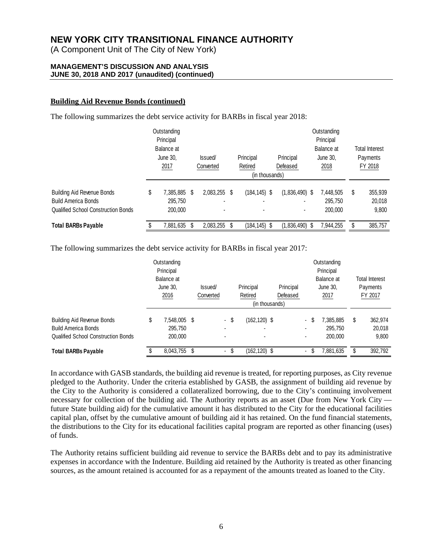(A Component Unit of The City of New York)

### **MANAGEMENT'S DISCUSSION AND ANALYSIS JUNE 30, 2018 AND 2017 (unaudited) (continued)**

## **Building Aid Revenue Bonds (continued)**

The following summarizes the debt service activity for BARBs in fiscal year 2018:

|                                                                                                               | Outstanding<br>Principal              |   |                                |                      |                                         |                  |  | Outstanding<br>Principal        |   |                                              |
|---------------------------------------------------------------------------------------------------------------|---------------------------------------|---|--------------------------------|----------------------|-----------------------------------------|------------------|--|---------------------------------|---|----------------------------------------------|
|                                                                                                               | Balance at<br>June 30,<br>2017        |   | lssued/<br>Converted           | Principal<br>Retired | Principal<br>Defeased<br>(in thousands) |                  |  | Balance at<br>June 30,<br>2018  |   | <b>Total Interest</b><br>Payments<br>FY 2018 |
| <b>Building Aid Revenue Bonds</b><br><b>Build America Bonds</b><br><b>Qualified School Construction Bonds</b> | \$<br>7,385,885<br>295,750<br>200,000 | S | 2,083,255 \$<br>$\blacksquare$ | $(184, 145)$ \$      |                                         | $(1,836,490)$ \$ |  | 7,448,505<br>295,750<br>200,000 | S | 355,939<br>20,018<br>9,800                   |
| <b>Total BARBs Payable</b>                                                                                    | 7,881,635                             | S | 2,083,255 \$                   | $(184, 145)$ \$      |                                         | $(1,836,490)$ \$ |  | 7,944,255                       |   | 385,757                                      |

The following summarizes the debt service activity for BARBs in fiscal year 2017:

|                                                                                                               | Outstanding<br>Principal                 |   |                      |      |                                        |                       |                          |                                | Outstanding<br>Principal        |   |                                              |
|---------------------------------------------------------------------------------------------------------------|------------------------------------------|---|----------------------|------|----------------------------------------|-----------------------|--------------------------|--------------------------------|---------------------------------|---|----------------------------------------------|
|                                                                                                               | Balance at<br>June 30,<br>2016           |   | Issued/<br>Converted |      | Principal<br>Retired<br>(in thousands) | Principal<br>Defeased |                          | Balance at<br>June 30,<br>2017 |                                 |   | <b>Total Interest</b><br>Payments<br>FY 2017 |
| <b>Building Aid Revenue Bonds</b><br><b>Build America Bonds</b><br><b>Qualified School Construction Bonds</b> | \$<br>7,548,005 \$<br>295,750<br>200,000 |   | ۰                    | - \$ | $(162, 120)$ \$                        |                       | ۰                        |                                | 7,385,885<br>295,750<br>200,000 | S | 362,974<br>20,018<br>9.800                   |
| <b>Total BARBs Payable</b>                                                                                    | 8,043,755                                | S | $\sim$               | S    | $(162, 120)$ \$                        |                       | $\overline{\phantom{0}}$ |                                | 7,881,635                       |   | 392,792                                      |

In accordance with GASB standards, the building aid revenue is treated, for reporting purposes, as City revenue pledged to the Authority. Under the criteria established by GASB, the assignment of building aid revenue by the City to the Authority is considered a collateralized borrowing, due to the City's continuing involvement necessary for collection of the building aid. The Authority reports as an asset (Due from New York City future State building aid) for the cumulative amount it has distributed to the City for the educational facilities capital plan, offset by the cumulative amount of building aid it has retained. On the fund financial statements, the distributions to the City for its educational facilities capital program are reported as other financing (uses) of funds.

The Authority retains sufficient building aid revenue to service the BARBs debt and to pay its administrative expenses in accordance with the Indenture. Building aid retained by the Authority is treated as other financing sources, as the amount retained is accounted for as a repayment of the amounts treated as loaned to the City.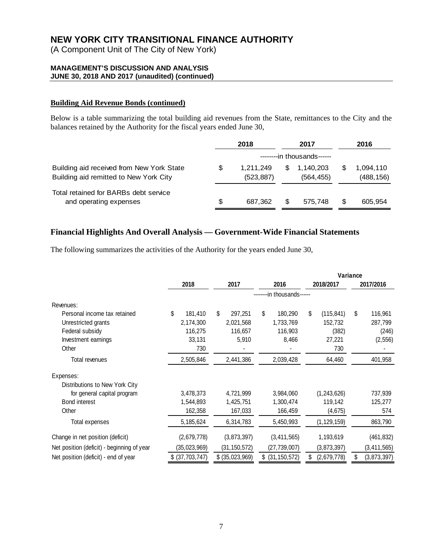(A Component Unit of The City of New York)

## **MANAGEMENT'S DISCUSSION AND ANALYSIS JUNE 30, 2018 AND 2017 (unaudited) (continued)**

## **Building Aid Revenue Bonds (continued)**

Below is a table summarizing the total building aid revenues from the State, remittances to the City and the balances retained by the Authority for the fiscal years ended June 30,

|                                                                                     |    | 2018                    |     | 2017                       |   | 2016                    |
|-------------------------------------------------------------------------------------|----|-------------------------|-----|----------------------------|---|-------------------------|
|                                                                                     |    |                         |     | --------in thousands------ |   |                         |
| Building aid received from New York State<br>Building aid remitted to New York City | S  | 1.211.249<br>(523, 887) | \$. | 1,140,203<br>(564, 455)    | S | 1,094,110<br>(488, 156) |
| Total retained for BARBs debt service<br>and operating expenses                     | \$ | 687.362                 | S   | 575,748                    | S | 605.954                 |

## **Financial Highlights And Overall Analysis — Government-Wide Financial Statements**

The following summarizes the activities of the Authority for the years ended June 30,

|                                            |                 |                 |                            |                   | Variance |               |  |
|--------------------------------------------|-----------------|-----------------|----------------------------|-------------------|----------|---------------|--|
|                                            | 2018            | 2017            | 2016                       | 2018/2017         |          | 2017/2016     |  |
|                                            |                 |                 | --------in thousands------ |                   |          |               |  |
| Revenues:                                  |                 |                 |                            |                   |          |               |  |
| Personal income tax retained               | \$<br>181,410   | \$<br>297,251   | \$<br>180,290              | \$<br>(115, 841)  | \$       | 116,961       |  |
| Unrestricted grants                        | 2,174,300       | 2,021,568       | 1,733,769                  | 152,732           |          | 287,799       |  |
| Federal subsidy                            | 116,275         | 116,657         | 116,903                    | (382)             |          | (246)         |  |
| Investment earnings                        | 33,131          | 5,910           | 8,466                      | 27,221            |          | (2, 556)      |  |
| Other                                      | 730             |                 |                            | 730               |          |               |  |
| Total revenues                             | 2,505,846       | 2,441,386       | 2,039,428                  | 64,460            |          | 401,958       |  |
| Expenses:                                  |                 |                 |                            |                   |          |               |  |
| Distributions to New York City             |                 |                 |                            |                   |          |               |  |
| for general capital program                | 3,478,373       | 4,721,999       | 3,984,060                  | (1, 243, 626)     |          | 737,939       |  |
| <b>Bond interest</b>                       | 1,544,893       | 1,425,751       | 1,300,474                  | 119,142           |          | 125,277       |  |
| Other                                      | 162,358         | 167,033         | 166,459                    | (4, 675)          |          | 574           |  |
| Total expenses                             | 5,185,624       | 6,314,783       | 5,450,993                  | (1, 129, 159)     |          | 863,790       |  |
| Change in net position (deficit)           | (2,679,778)     | (3,873,397)     | (3,411,565)                | 1,193,619         |          | (461, 832)    |  |
| Net position (deficit) - beginning of year | (35, 023, 969)  | (31, 150, 572)  | (27, 739, 007)             | (3,873,397)       |          | (3, 411, 565) |  |
| Net position (deficit) - end of year       | \$ (37,703,747) | \$ (35,023,969) | $$$ (31, 150, 572)         | \$<br>(2,679,778) | \$       | (3,873,397)   |  |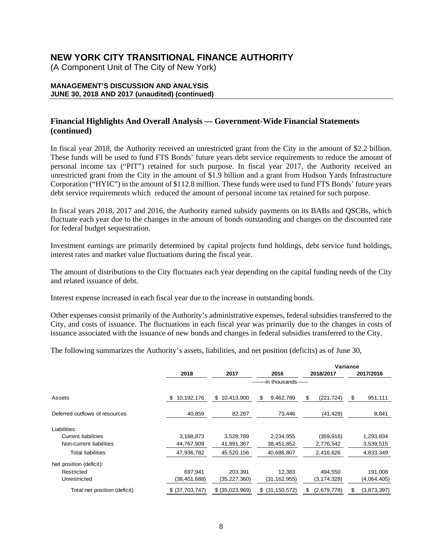(A Component Unit of The City of New York)

### **MANAGEMENT'S DISCUSSION AND ANALYSIS JUNE 30, 2018 AND 2017 (unaudited) (continued)**

## **Financial Highlights And Overall Analysis — Government-Wide Financial Statements (continued)**

In fiscal year 2018, the Authority received an unrestricted grant from the City in the amount of \$2.2 billion. These funds will be used to fund FTS Bonds' future years debt service requirements to reduce the amount of personal income tax ("PIT") retained for such purpose. In fiscal year 2017, the Authority received an unrestricted grant from the City in the amount of \$1.9 billion and a grant from Hudson Yards Infrastructure Corporation ("HYIC") in the amount of \$112.8 million. These funds were used to fund FTS Bonds' future years debt service requirements which reduced the amount of personal income tax retained for such purpose.

In fiscal years 2018, 2017 and 2016, the Authority earned subsidy payments on its BABs and QSCBs, which fluctuate each year due to the changes in the amount of bonds outstanding and changes on the discounted rate for federal budget sequestration.

Investment earnings are primarily determined by capital projects fund holdings, debt service fund holdings, interest rates and market value fluctuations during the fiscal year.

The amount of distributions to the City fluctuates each year depending on the capital funding needs of the City and related issuance of debt.

Interest expense increased in each fiscal year due to the increase in outstanding bonds.

Other expenses consist primarily of the Authority's administrative expenses, federal subsidies transferred to the City, and costs of issuance. The fluctuations in each fiscal year was primarily due to the changes in costs of issuance associated with the issuance of new bonds and changes in federal subsidies transferred to the City.

The following summarizes the Authority's assets, liabilities, and net position (deficits) as of June 30,

|                                |                  |                 |                            |                   | Variance          |
|--------------------------------|------------------|-----------------|----------------------------|-------------------|-------------------|
|                                | 2018             | 2017            | 2016                       | 2018/2017         | 2017/2016         |
|                                |                  |                 | --------in thousands------ |                   |                   |
| Assets                         | 10,192,176<br>\$ | \$10,413,900    | \$<br>9,462,789            | \$<br>(221, 724)  | \$<br>951,111     |
| Deferred outflows of resources | 40,859           | 82,287          | 73,446                     | (41, 428)         | 8,841             |
| Liabilities:                   |                  |                 |                            |                   |                   |
| <b>Current liabilities</b>     | 3,168,873        | 3.528.789       | 2.234.955                  | (359, 916)        | 1,293,834         |
| Non-current liabilities        | 44,767,909       | 41,991,367      | 38,451,852                 | 2,776,542         | 3,539,515         |
| <b>Total liabilities</b>       | 47,936,782       | 45,520,156      | 40,686,807                 | 2,416,626         | 4,833,349         |
| Net position (deficit):        |                  |                 |                            |                   |                   |
| Restricted                     | 697,941          | 203.391         | 12,383                     | 494,550           | 191,008           |
| Unrestricted                   | (38,401,688)     | (35,227,360)    | (31, 162, 955)             | (3, 174, 328)     | (4,064,405)       |
| Total net position (deficit)   | \$ (37,703,747)  | \$ (35,023,969) | $$$ (31, 150, 572)         | (2,679,778)<br>\$ | \$<br>(3,873,397) |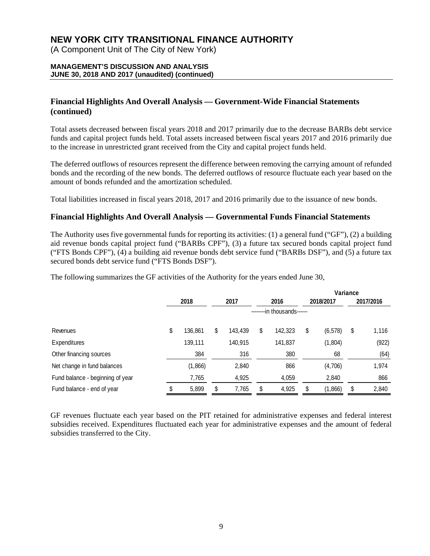(A Component Unit of The City of New York)

### **MANAGEMENT'S DISCUSSION AND ANALYSIS JUNE 30, 2018 AND 2017 (unaudited) (continued)**

## **Financial Highlights And Overall Analysis — Government-Wide Financial Statements (continued)**

Total assets decreased between fiscal years 2018 and 2017 primarily due to the decrease BARBs debt service funds and capital project funds held. Total assets increased between fiscal years 2017 and 2016 primarily due to the increase in unrestricted grant received from the City and capital project funds held.

The deferred outflows of resources represent the difference between removing the carrying amount of refunded bonds and the recording of the new bonds. The deferred outflows of resource fluctuate each year based on the amount of bonds refunded and the amortization scheduled.

Total liabilities increased in fiscal years 2018, 2017 and 2016 primarily due to the issuance of new bonds.

## **Financial Highlights And Overall Analysis — Governmental Funds Financial Statements**

The Authority uses five governmental funds for reporting its activities: (1) a general fund ("GF"), (2) a building aid revenue bonds capital project fund ("BARBs CPF"), (3) a future tax secured bonds capital project fund ("FTS Bonds CPF"), (4) a building aid revenue bonds debt service fund ("BARBs DSF"), and (5) a future tax secured bonds debt service fund ("FTS Bonds DSF").

The following summarizes the GF activities of the Authority for the years ended June 30,

|                                  |               |    |         |    |                            |    |           | Variance |           |  |
|----------------------------------|---------------|----|---------|----|----------------------------|----|-----------|----------|-----------|--|
|                                  | 2018          |    | 2017    |    | 2016                       |    | 2018/2017 |          | 2017/2016 |  |
|                                  |               |    |         |    | --------in thousands------ |    |           |          |           |  |
| Revenues                         | \$<br>136,861 | \$ | 143,439 | \$ | 142,323                    | \$ | (6, 578)  | \$       | 1,116     |  |
| Expenditures                     | 139,111       |    | 140,915 |    | 141,837                    |    | (1, 804)  |          | (922)     |  |
| Other financing sources          | 384           |    | 316     |    | 380                        |    | 68        |          | (64)      |  |
| Net change in fund balances      | (1,866)       |    | 2,840   |    | 866                        |    | (4,706)   |          | 1,974     |  |
| Fund balance - beginning of year | 7,765         |    | 4,925   |    | 4,059                      |    | 2,840     |          | 866       |  |
| Fund balance - end of year       | 5,899         | \$ | 7,765   | \$ | 4,925                      | \$ | (1,866)   | \$       | 2,840     |  |

GF revenues fluctuate each year based on the PIT retained for administrative expenses and federal interest subsidies received. Expenditures fluctuated each year for administrative expenses and the amount of federal subsidies transferred to the City.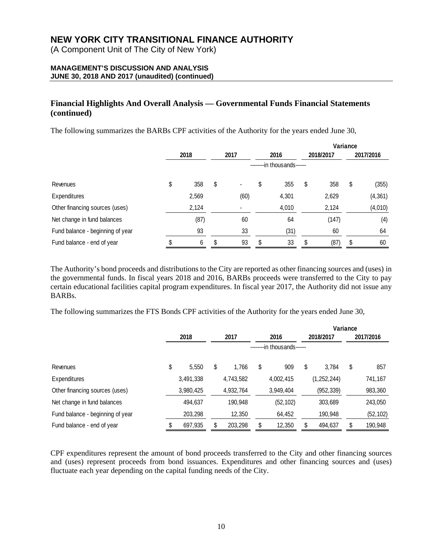(A Component Unit of The City of New York)

## **MANAGEMENT'S DISCUSSION AND ANALYSIS JUNE 30, 2018 AND 2017 (unaudited) (continued)**

## **Financial Highlights And Overall Analysis — Governmental Funds Financial Statements (continued)**

The following summarizes the BARBs CPF activities of the Authority for the years ended June 30,

|                                  |           |    |                |                            |       | Variance |           |           |          |  |
|----------------------------------|-----------|----|----------------|----------------------------|-------|----------|-----------|-----------|----------|--|
|                                  | 2018      |    | 2017           |                            | 2016  |          | 2018/2017 | 2017/2016 |          |  |
|                                  |           |    |                | --------in thousands------ |       |          |           |           |          |  |
| Revenues                         | \$<br>358 | \$ | $\blacksquare$ | \$                         | 355   | \$       | 358       | \$        | (355)    |  |
| Expenditures                     | 2,569     |    | (60)           |                            | 4,301 |          | 2,629     |           | (4, 361) |  |
| Other financing sources (uses)   | 2,124     |    |                |                            | 4,010 |          | 2,124     |           | (4,010)  |  |
| Net change in fund balances      | (87)      |    | 60             |                            | 64    |          | (147)     |           | (4)      |  |
| Fund balance - beginning of year | 93        |    | 33             |                            | (31)  |          | 60        |           | 64       |  |
| Fund balance - end of year       | \$<br>6   | \$ | 93             | \$                         | 33    | \$       | (87)      | \$        | 60       |  |

The Authority's bond proceeds and distributions to the City are reported as other financing sources and (uses) in the governmental funds. In fiscal years 2018 and 2016, BARBs proceeds were transferred to the City to pay certain educational facilities capital program expenditures. In fiscal year 2017, the Authority did not issue any BARBs.

The following summarizes the FTS Bonds CPF activities of the Authority for the years ended June 30,

|                                  |    |           |    |           |    |                            | Variance |               |    |           |
|----------------------------------|----|-----------|----|-----------|----|----------------------------|----------|---------------|----|-----------|
|                                  |    | 2018      |    | 2017      |    | 2016                       |          | 2018/2017     |    | 2017/2016 |
|                                  |    |           |    |           |    | --------in thousands------ |          |               |    |           |
| Revenues                         | \$ | 5,550     | \$ | 1,766     | \$ | 909                        | \$       | 3,784         | \$ | 857       |
| Expenditures                     |    | 3,491,338 |    | 4,743,582 |    | 4,002,415                  |          | (1, 252, 244) |    | 741,167   |
| Other financing sources (uses)   |    | 3,980,425 |    | 4,932,764 |    | 3,949,404                  |          | (952, 339)    |    | 983,360   |
| Net change in fund balances      |    | 494,637   |    | 190,948   |    | (52, 102)                  |          | 303,689       |    | 243,050   |
| Fund balance - beginning of year |    | 203,298   |    | 12,350    |    | 64,452                     |          | 190,948       |    | (52, 102) |
| Fund balance - end of year       |    | 697,935   | \$ | 203,298   | \$ | 12,350                     | \$       | 494,637       | \$ | 190,948   |

CPF expenditures represent the amount of bond proceeds transferred to the City and other financing sources and (uses) represent proceeds from bond issuances. Expenditures and other financing sources and (uses) fluctuate each year depending on the capital funding needs of the City.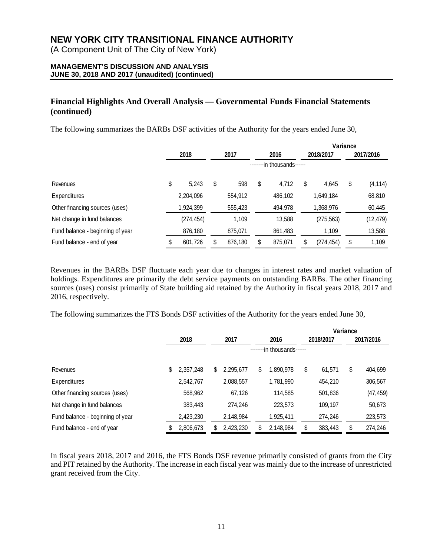(A Component Unit of The City of New York)

## **MANAGEMENT'S DISCUSSION AND ANALYSIS JUNE 30, 2018 AND 2017 (unaudited) (continued)**

## **Financial Highlights And Overall Analysis — Governmental Funds Financial Statements (continued)**

The following summarizes the BARBs DSF activities of the Authority for the years ended June 30,

|                                  |               |    |         |    |                            |    |            | Variance |           |
|----------------------------------|---------------|----|---------|----|----------------------------|----|------------|----------|-----------|
|                                  | 2018          |    | 2017    |    | 2016                       |    | 2018/2017  |          | 2017/2016 |
|                                  |               |    |         |    | --------in thousands------ |    |            |          |           |
| Revenues                         | \$<br>5.243   | \$ | 598     | \$ | 4,712                      | \$ | 4,645      | \$       | (4, 114)  |
| Expenditures                     | 2,204,096     |    | 554,912 |    | 486,102                    |    | 1,649,184  |          | 68,810    |
| Other financing sources (uses)   | 1,924,399     |    | 555,423 |    | 494,978                    |    | 1,368,976  |          | 60,445    |
| Net change in fund balances      | (274, 454)    |    | 1,109   |    | 13,588                     |    | (275, 563) |          | (12, 479) |
| Fund balance - beginning of year | 876,180       |    | 875,071 |    | 861,483                    |    | 1,109      |          | 13,588    |
| Fund balance - end of year       | \$<br>601,726 | \$ | 876,180 | \$ | 875,071                    | \$ | (274, 454) | \$       | 1,109     |

Revenues in the BARBs DSF fluctuate each year due to changes in interest rates and market valuation of holdings. Expenditures are primarily the debt service payments on outstanding BARBs. The other financing sources (uses) consist primarily of State building aid retained by the Authority in fiscal years 2018, 2017 and 2016, respectively.

The following summarizes the FTS Bonds DSF activities of the Authority for the years ended June 30,

|                                  |                            |    |           |    |           | Variance |           |           |           |  |  |  |
|----------------------------------|----------------------------|----|-----------|----|-----------|----------|-----------|-----------|-----------|--|--|--|
|                                  | 2018                       |    | 2017      |    | 2016      |          | 2018/2017 | 2017/2016 |           |  |  |  |
|                                  | --------in thousands------ |    |           |    |           |          |           |           |           |  |  |  |
| Revenues                         | \$<br>2,357,248            | \$ | 2,295,677 | \$ | 1,890,978 | \$       | 61,571    | \$        | 404,699   |  |  |  |
| Expenditures                     | 2,542,767                  |    | 2,088,557 |    | 1,781,990 |          | 454,210   |           | 306,567   |  |  |  |
| Other financing sources (uses)   | 568,962                    |    | 67,126    |    | 114,585   |          | 501,836   |           | (47, 459) |  |  |  |
| Net change in fund balances      | 383,443                    |    | 274.246   |    | 223,573   |          | 109,197   |           | 50,673    |  |  |  |
| Fund balance - beginning of year | 2,423,230                  |    | 2,148,984 |    | 1,925,411 |          | 274,246   |           | 223,573   |  |  |  |
| Fund balance - end of year       | \$<br>2,806,673            | \$ | 2,423,230 | \$ | 2,148,984 | \$       | 383,443   | \$        | 274,246   |  |  |  |

In fiscal years 2018, 2017 and 2016, the FTS Bonds DSF revenue primarily consisted of grants from the City and PIT retained by the Authority. The increase in each fiscal year was mainly due to the increase of unrestricted grant received from the City.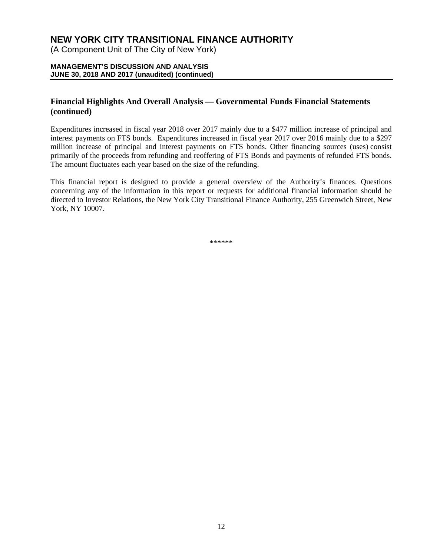(A Component Unit of The City of New York)

### **MANAGEMENT'S DISCUSSION AND ANALYSIS JUNE 30, 2018 AND 2017 (unaudited) (continued)**

## **Financial Highlights And Overall Analysis — Governmental Funds Financial Statements (continued)**

Expenditures increased in fiscal year 2018 over 2017 mainly due to a \$477 million increase of principal and interest payments on FTS bonds. Expenditures increased in fiscal year 2017 over 2016 mainly due to a \$297 million increase of principal and interest payments on FTS bonds. Other financing sources (uses) consist primarily of the proceeds from refunding and reoffering of FTS Bonds and payments of refunded FTS bonds. The amount fluctuates each year based on the size of the refunding.

This financial report is designed to provide a general overview of the Authority's finances. Questions concerning any of the information in this report or requests for additional financial information should be directed to Investor Relations, the New York City Transitional Finance Authority, 255 Greenwich Street, New York, NY 10007.

\*\*\*\*\*\*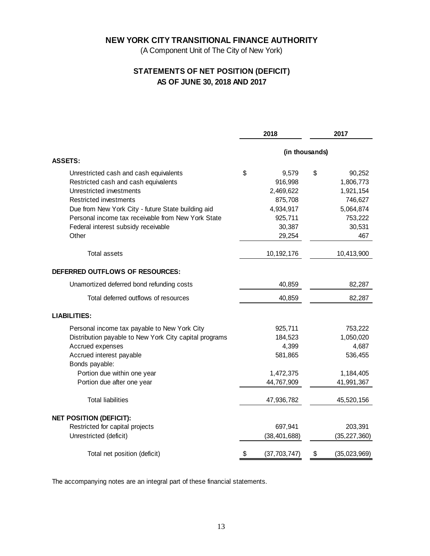(A Component Unit of The City of New York)

## **STATEMENTS OF NET POSITION (DEFICIT) AS OF JUNE 30, 2018 AND 2017**

|                                                        | 2018                 | 2017               |
|--------------------------------------------------------|----------------------|--------------------|
|                                                        | (in thousands)       |                    |
| <b>ASSETS:</b>                                         |                      |                    |
| Unrestricted cash and cash equivalents                 | \$<br>9,579          | \$<br>90,252       |
| Restricted cash and cash equivalents                   | 916,998              | 1,806,773          |
| Unrestricted investments                               | 2,469,622            | 1,921,154          |
| <b>Restricted investments</b>                          | 875,708              | 746,627            |
| Due from New York City - future State building aid     | 4,934,917            | 5,064,874          |
| Personal income tax receivable from New York State     | 925,711              | 753,222            |
| Federal interest subsidy receivable                    | 30,387               | 30,531             |
| Other                                                  | 29,254               | 467                |
| <b>Total assets</b>                                    | 10, 192, 176         | 10,413,900         |
| DEFERRED OUTFLOWS OF RESOURCES:                        |                      |                    |
| Unamortized deferred bond refunding costs              | 40,859               | 82,287             |
| Total deferred outflows of resources                   | 40,859               | 82,287             |
| <b>LIABILITIES:</b>                                    |                      |                    |
| Personal income tax payable to New York City           | 925,711              | 753,222            |
| Distribution payable to New York City capital programs | 184,523              | 1,050,020          |
| Accrued expenses                                       | 4,399                | 4,687              |
| Accrued interest payable                               | 581,865              | 536,455            |
| Bonds payable:<br>Portion due within one year          | 1,472,375            | 1,184,405          |
| Portion due after one year                             | 44,767,909           | 41,991,367         |
| <b>Total liabilities</b>                               | 47,936,782           | 45,520,156         |
| <b>NET POSITION (DEFICIT):</b>                         |                      |                    |
| Restricted for capital projects                        | 697,941              | 203,391            |
| Unrestricted (deficit)                                 | (38, 401, 688)       | (35, 227, 360)     |
| Total net position (deficit)                           | \$<br>(37, 703, 747) | \$<br>(35,023,969) |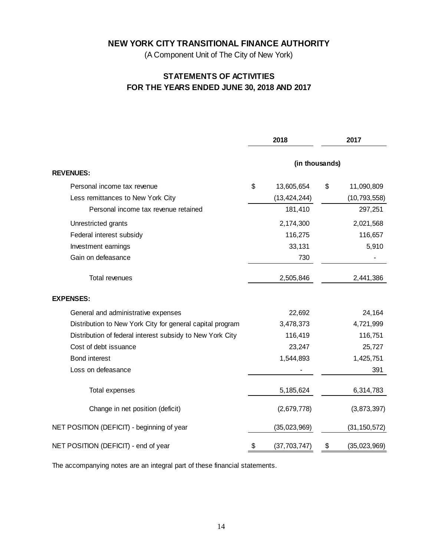(A Component Unit of The City of New York)

## **STATEMENTS OF ACTIVITIES FOR THE YEARS ENDED JUNE 30, 2018 AND 2017**

|                                                           | 2018                 | 2017               |
|-----------------------------------------------------------|----------------------|--------------------|
|                                                           | (in thousands)       |                    |
| <b>REVENUES:</b>                                          |                      |                    |
| Personal income tax revenue                               | \$<br>13,605,654     | \$<br>11,090,809   |
| Less remittances to New York City                         | (13, 424, 244)       | (10, 793, 558)     |
| Personal income tax revenue retained                      | 181,410              | 297,251            |
| Unrestricted grants                                       | 2,174,300            | 2,021,568          |
| Federal interest subsidy                                  | 116,275              | 116,657            |
| Investment earnings                                       | 33,131               | 5,910              |
| Gain on defeasance                                        | 730                  |                    |
| <b>Total revenues</b>                                     | 2,505,846            | 2,441,386          |
| <b>EXPENSES:</b>                                          |                      |                    |
| General and administrative expenses                       | 22,692               | 24,164             |
| Distribution to New York City for general capital program | 3,478,373            | 4,721,999          |
| Distribution of federal interest subsidy to New York City | 116,419              | 116,751            |
| Cost of debt issuance                                     | 23,247               | 25,727             |
| Bond interest                                             | 1,544,893            | 1,425,751          |
| Loss on defeasance                                        |                      | 391                |
| Total expenses                                            | 5, 185, 624          | 6,314,783          |
| Change in net position (deficit)                          | (2,679,778)          | (3,873,397)        |
| NET POSITION (DEFICIT) - beginning of year                | (35,023,969)         | (31, 150, 572)     |
| NET POSITION (DEFICIT) - end of year                      | \$<br>(37, 703, 747) | \$<br>(35,023,969) |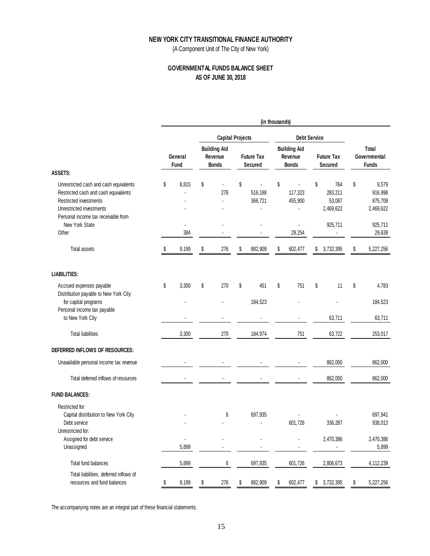(A Component Unit of The City of New York)

## **GOVERNMENTAL FUNDS BALANCE SHEET AS OF JUNE 30, 2018**

|                                                                                                                                                                             |    |                 |                                                |                                     | (in thousands) |                                                |                                             |                                                |
|-----------------------------------------------------------------------------------------------------------------------------------------------------------------------------|----|-----------------|------------------------------------------------|-------------------------------------|----------------|------------------------------------------------|---------------------------------------------|------------------------------------------------|
|                                                                                                                                                                             |    |                 | <b>Capital Projects</b>                        |                                     |                | <b>Debt Service</b>                            |                                             |                                                |
|                                                                                                                                                                             |    | General<br>Fund | <b>Building Aid</b><br>Revenue<br><b>Bonds</b> | <b>Future Tax</b><br><b>Secured</b> |                | <b>Building Aid</b><br>Revenue<br><b>Bonds</b> | <b>Future Tax</b><br><b>Secured</b>         | Total<br>Governmental<br><b>Funds</b>          |
| <b>ASSETS:</b>                                                                                                                                                              |    |                 |                                                |                                     |                |                                                |                                             |                                                |
| Unrestricted cash and cash equivalents<br>Restricted cash and cash equivalents<br>Restricted investments<br>Unrestricted investments<br>Personal income tax receivable from | \$ | 8,815           | \$<br>276<br>$\overline{a}$                    | \$<br>516,188<br>366,721            | \$             | 117,323<br>455,900                             | \$<br>764<br>283,211<br>53,087<br>2,469,622 | \$<br>9,579<br>916,998<br>875,708<br>2,469,622 |
| New York State                                                                                                                                                              |    | L.              |                                                |                                     |                | $\overline{a}$                                 | 925,711                                     | 925,711                                        |
| Other                                                                                                                                                                       |    | 384             |                                                |                                     |                | 29,254                                         |                                             | 29,638                                         |
| <b>Total assets</b>                                                                                                                                                         | S  | 9,199           | \$<br>276                                      | \$<br>882,909                       | \$             | 602,477                                        | \$<br>3,732,395                             | \$<br>5,227,256                                |
| <b>LIABILITIES:</b>                                                                                                                                                         |    |                 |                                                |                                     |                |                                                |                                             |                                                |
| Accrued expenses payable<br>Distribution payable to New York City                                                                                                           | \$ | 3,300           | \$<br>270                                      | \$<br>451                           | \$             | 751                                            | \$<br>11                                    | \$<br>4,783                                    |
| for capital programs                                                                                                                                                        |    |                 |                                                | 184,523                             |                |                                                |                                             | 184,523                                        |
| Personal income tax payable<br>to New York City                                                                                                                             |    |                 |                                                |                                     |                |                                                | 63,711                                      | 63,711                                         |
| <b>Total liabilities</b>                                                                                                                                                    |    | 3,300           | 270                                            | 184,974                             |                | 751                                            | 63,722                                      | 253,017                                        |
| DEFERRED INFLOWS OF RESOURCES:                                                                                                                                              |    |                 |                                                |                                     |                |                                                |                                             |                                                |
| Unavailable personal income tax revenue                                                                                                                                     |    |                 |                                                |                                     |                |                                                | 862,000                                     | 862,000                                        |
| Total deferred inflows of resources                                                                                                                                         |    |                 |                                                |                                     |                |                                                | 862,000                                     | 862,000                                        |
| <b>FUND BALANCES:</b>                                                                                                                                                       |    |                 |                                                |                                     |                |                                                |                                             |                                                |
| Restricted for:<br>Capital distribution to New York City<br>Debt service                                                                                                    |    |                 | 6                                              | 697,935                             |                | 601,726                                        | 336,287                                     | 697,941<br>938,013                             |
| Unrestricted for:                                                                                                                                                           |    |                 |                                                |                                     |                |                                                |                                             |                                                |
| Assigned for debt service                                                                                                                                                   |    |                 |                                                |                                     |                |                                                | 2,470,386                                   | 2,470,386                                      |
| Unassigned                                                                                                                                                                  |    | 5,899           |                                                |                                     |                |                                                | ٠                                           | 5,899                                          |
| Total fund balances                                                                                                                                                         |    | 5,899           | 6                                              | 697,935                             |                | 601.726                                        | 2,806,673                                   | 4,112,239                                      |
| Total liabilities, deferred inflows of<br>resources and fund balances                                                                                                       | \$ | 9,199           | \$<br>276                                      | \$<br>882,909                       | \$             | 602,477                                        | \$<br>3,732,395                             | \$<br>5,227,256                                |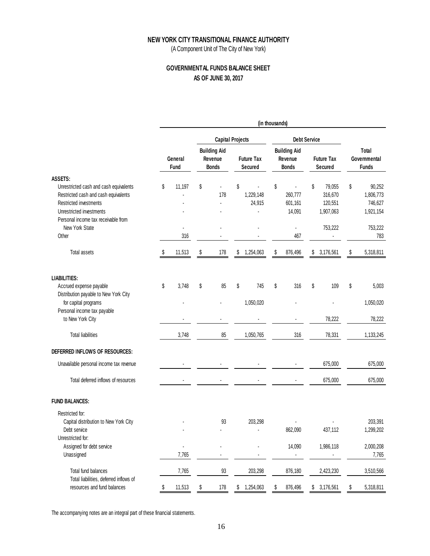(A Component Unit of The City of New York)

## **GOVERNMENTAL FUNDS BALANCE SHEET AS OF JUNE 30, 2017**

|                                                                                                                                                                             | (in thousands) |                 |                         |                                                |    |                              |                     |                                                |    |                                           |    |                                             |
|-----------------------------------------------------------------------------------------------------------------------------------------------------------------------------|----------------|-----------------|-------------------------|------------------------------------------------|----|------------------------------|---------------------|------------------------------------------------|----|-------------------------------------------|----|---------------------------------------------|
|                                                                                                                                                                             |                |                 | <b>Capital Projects</b> |                                                |    |                              | <b>Debt Service</b> |                                                |    |                                           |    |                                             |
|                                                                                                                                                                             |                | General<br>Fund |                         | <b>Building Aid</b><br>Revenue<br><b>Bonds</b> |    | <b>Future Tax</b><br>Secured |                     | <b>Building Aid</b><br>Revenue<br><b>Bonds</b> |    | <b>Future Tax</b><br>Secured              |    | Total<br>Governmental<br><b>Funds</b>       |
| ASSETS:                                                                                                                                                                     |                |                 |                         |                                                |    |                              |                     |                                                |    |                                           |    |                                             |
| Unrestricted cash and cash equivalents<br>Restricted cash and cash equivalents<br>Restricted investments<br>Unrestricted investments<br>Personal income tax receivable from | \$             | 11,197          | \$                      | 178                                            | \$ | ä,<br>1,229,148<br>24,915    | \$                  | 260,777<br>601,161<br>14,091                   | \$ | 79,055<br>316,670<br>120,551<br>1,907,063 | \$ | 90,252<br>1,806,773<br>746,627<br>1,921,154 |
| New York State<br>Other                                                                                                                                                     |                | ٠<br>316        |                         |                                                |    |                              |                     | $\blacksquare$<br>467                          |    | 753,222                                   |    | 753,222<br>783                              |
| Total assets                                                                                                                                                                | S              | 11,513          | \$                      | 178                                            | \$ | 1,254,063                    | \$                  | 876,496                                        | \$ | 3,176,561                                 | \$ | 5,318,811                                   |
| <b>LIABILITIES:</b>                                                                                                                                                         |                |                 |                         |                                                |    |                              |                     |                                                |    |                                           |    |                                             |
| Accrued expense payable<br>Distribution payable to New York City                                                                                                            | \$             | 3,748           | \$                      | 85                                             | \$ | 745                          | \$                  | 316                                            | \$ | 109                                       | \$ | 5,003                                       |
| for capital programs<br>Personal income tax payable                                                                                                                         |                |                 |                         |                                                |    | 1,050,020                    |                     |                                                |    |                                           |    | 1,050,020                                   |
| to New York City                                                                                                                                                            |                |                 |                         |                                                |    |                              |                     |                                                |    | 78,222                                    |    | 78,222                                      |
| <b>Total liabilities</b>                                                                                                                                                    |                | 3,748           |                         | 85                                             |    | 1,050,765                    |                     | 316                                            |    | 78,331                                    |    | 1,133,245                                   |
| DEFERRED INFLOWS OF RESOURCES:                                                                                                                                              |                |                 |                         |                                                |    |                              |                     |                                                |    |                                           |    |                                             |
| Unavailable personal income tax revenue                                                                                                                                     |                |                 |                         |                                                |    |                              |                     |                                                |    | 675,000                                   |    | 675,000                                     |
| Total deferred inflows of resources                                                                                                                                         |                |                 |                         |                                                |    |                              |                     |                                                |    | 675,000                                   |    | 675,000                                     |
| <b>FUND BALANCES:</b>                                                                                                                                                       |                |                 |                         |                                                |    |                              |                     |                                                |    |                                           |    |                                             |
| Restricted for:<br>Capital distribution to New York City                                                                                                                    |                |                 |                         | 93                                             |    | 203,298                      |                     |                                                |    |                                           |    | 203,391                                     |
| Debt service<br>Unrestricted for:                                                                                                                                           |                |                 |                         |                                                |    |                              |                     | 862,090                                        |    | 437,112                                   |    | 1,299,202                                   |
| Assigned for debt service<br>Unassigned                                                                                                                                     |                | 7,765           |                         |                                                |    |                              |                     | 14,090<br>$\blacksquare$                       |    | 1,986,118                                 |    | 2,000,208<br>7,765                          |
| Total fund balances<br>Total liabilities, deferred inflows of                                                                                                               |                | 7,765           |                         | 93                                             |    | 203,298                      |                     | 876,180                                        |    | 2,423,230                                 |    | 3,510,566                                   |
| resources and fund balances                                                                                                                                                 | \$             | 11,513          | \$                      | 178                                            | \$ | 1,254,063                    | \$                  | 876,496                                        |    | \$3,176,561                               | \$ | 5,318,811                                   |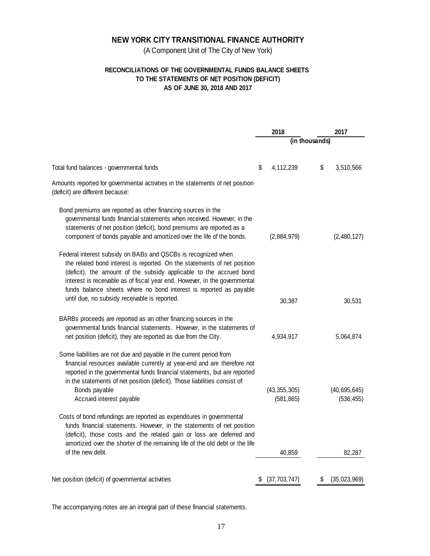(A Component Unit of The City of New York)

## **RECONCILIATIONS OF THE GOVERNMENTAL FUNDS BALANCE SHEETS TO THE STATEMENTS OF NET POSITION (DEFICIT) AS OF JUNE 30, 2018 AND 2017**

|                                                                                                                                                                                                                                                                                                                                                                      |    | 2018                         |                | 2017                         |
|----------------------------------------------------------------------------------------------------------------------------------------------------------------------------------------------------------------------------------------------------------------------------------------------------------------------------------------------------------------------|----|------------------------------|----------------|------------------------------|
|                                                                                                                                                                                                                                                                                                                                                                      |    |                              | (in thousands) |                              |
| Total fund balances - governmental funds                                                                                                                                                                                                                                                                                                                             | \$ | 4,112,239                    | \$             | 3,510,566                    |
| Amounts reported for governmental activities in the statements of net position<br>(deficit) are different because:                                                                                                                                                                                                                                                   |    |                              |                |                              |
| Bond premiums are reported as other financing sources in the<br>governmental funds financial statements when received. However, in the<br>statements of net position (deficit), bond premiums are reported as a<br>component of bonds payable and amortized over the life of the bonds.                                                                              |    | (2,884,979)                  |                | (2,480,127)                  |
| Federal interest subsidy on BABs and QSCBs is recognized when<br>the related bond interest is reported. On the statements of net position<br>(deficit), the amount of the subsidy applicable to the accrued bond<br>interest is receivable as of fiscal year end. However, in the governmental<br>funds balance sheets where no bond interest is reported as payable |    |                              |                |                              |
| until due, no subsidy receivable is reported.                                                                                                                                                                                                                                                                                                                        |    | 30,387                       |                | 30,531                       |
| BARBs proceeds are reported as an other financing sources in the<br>governmental funds financial statements. However, in the statements of<br>net position (deficit), they are reported as due from the City.                                                                                                                                                        |    | 4,934,917                    |                | 5,064,874                    |
| Some liabilities are not due and payable in the current period from<br>financial resources available currently at year-end and are therefore not<br>reported in the governmental funds financial statements, but are reported<br>in the statements of net position (deficit). Those liabilities consist of:<br>Bonds payable<br>Accrued interest payable             |    | (43, 355, 305)<br>(581, 865) |                | (40, 695, 645)<br>(536, 455) |
| Costs of bond refundings are reported as expenditures in governmental<br>funds financial statements. However, in the statements of net position<br>(deficit), those costs and the related gain or loss are deferred and<br>amortized over the shorter of the remaining life of the old debt or the life                                                              |    |                              |                |                              |
| of the new debt.                                                                                                                                                                                                                                                                                                                                                     |    | 40,859                       |                | 82,287                       |
| Net position (deficit) of governmental activities                                                                                                                                                                                                                                                                                                                    | S  | (37,703,747)                 | \$             | (35,023,969)                 |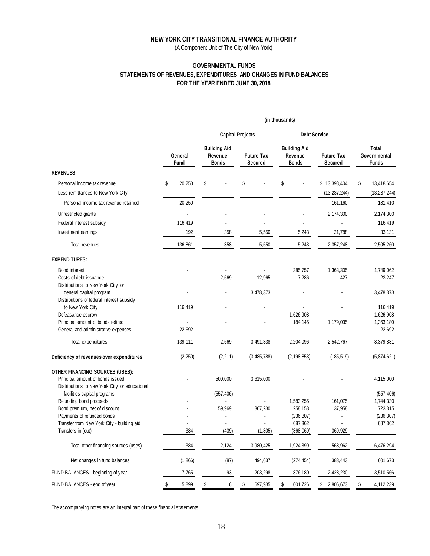(A Component Unit of The City of New York)

## **GOVERNMENTAL FUNDS STATEMENTS OF REVENUES, EXPENDITURES AND CHANGES IN FUND BALANCES FOR THE YEAR ENDED JUNE 30, 2018**

|                                                                      | (in thousands)         |    |                                                |    |                              |                                                |                     |                                     |                |    |                                       |
|----------------------------------------------------------------------|------------------------|----|------------------------------------------------|----|------------------------------|------------------------------------------------|---------------------|-------------------------------------|----------------|----|---------------------------------------|
|                                                                      |                        |    | <b>Capital Projects</b>                        |    |                              |                                                | <b>Debt Service</b> |                                     |                |    |                                       |
|                                                                      | General<br><b>Fund</b> |    | <b>Building Aid</b><br>Revenue<br><b>Bonds</b> |    | <b>Future Tax</b><br>Secured | <b>Building Aid</b><br>Revenue<br><b>Bonds</b> |                     | <b>Future Tax</b><br><b>Secured</b> |                |    | Total<br>Governmental<br><b>Funds</b> |
| <b>REVENUES:</b>                                                     |                        |    |                                                |    |                              |                                                |                     |                                     |                |    |                                       |
| Personal income tax revenue                                          | \$<br>20,250           | \$ |                                                | \$ |                              | \$                                             |                     |                                     | \$13,398,404   | \$ | 13,418,654                            |
| Less remittances to New York City                                    |                        |    |                                                |    |                              |                                                |                     |                                     | (13, 237, 244) |    | (13, 237, 244)                        |
| Personal income tax revenue retained                                 | 20,250                 |    |                                                |    |                              |                                                |                     |                                     | 161,160        |    | 181,410                               |
| Unrestricted grants                                                  |                        |    |                                                |    |                              |                                                |                     |                                     | 2,174,300      |    | 2,174,300                             |
| Federal interest subsidy                                             | 116,419                |    |                                                |    |                              |                                                |                     |                                     |                |    | 116,419                               |
| Investment earnings                                                  | 192                    |    | 358                                            |    | 5,550                        |                                                | 5,243               |                                     | 21,788         |    | 33,131                                |
| Total revenues                                                       | 136,861                |    | 358                                            |    | 5,550                        |                                                | 5,243               |                                     | 2,357,248      |    | 2,505,260                             |
| <b>EXPENDITURES:</b>                                                 |                        |    |                                                |    |                              |                                                |                     |                                     |                |    |                                       |
| <b>Bond interest</b>                                                 |                        |    |                                                |    |                              |                                                | 385,757             |                                     | 1,363,305      |    | 1,749,062                             |
| Costs of debt issuance                                               |                        |    | 2,569                                          |    | 12,965                       |                                                | 7,286               |                                     | 427            |    | 23,247                                |
| Distributions to New York City for                                   |                        |    |                                                |    |                              |                                                |                     |                                     |                |    |                                       |
| general capital program<br>Distributions of federal interest subsidy |                        |    |                                                |    | 3,478,373                    |                                                |                     |                                     |                |    | 3,478,373                             |
| to New York City                                                     | 116,419                |    |                                                |    |                              |                                                |                     |                                     |                |    | 116,419                               |
| Defeasance escrow                                                    |                        |    |                                                |    |                              |                                                | 1,626,908           |                                     |                |    | 1,626,908                             |
| Principal amount of bonds retired                                    |                        |    |                                                |    |                              |                                                | 184,145             |                                     | 1,179,035      |    | 1,363,180                             |
| General and administrative expenses                                  | 22,692                 |    |                                                |    |                              |                                                | ٠                   |                                     |                |    | 22,692                                |
| Total expenditures                                                   | 139,111                |    | 2,569                                          |    | 3,491,338                    |                                                | 2,204,096           |                                     | 2,542,767      |    | 8,379,881                             |
| Deficiency of revenues over expenditures                             | (2, 250)               |    | (2, 211)                                       |    | (3, 485, 788)                |                                                | (2, 198, 853)       |                                     | (185, 519)     |    | (5,874,621)                           |
| OTHER FINANCING SOURCES (USES):                                      |                        |    |                                                |    |                              |                                                |                     |                                     |                |    |                                       |
| Principal amount of bonds issued                                     |                        |    | 500,000                                        |    | 3,615,000                    |                                                |                     |                                     |                |    | 4,115,000                             |
| Distributions to New York City for educational                       |                        |    |                                                |    |                              |                                                |                     |                                     |                |    |                                       |
| facilities capital programs                                          |                        |    | (557, 406)                                     |    |                              |                                                |                     |                                     |                |    | (557, 406)                            |
| Refunding bond proceeds                                              |                        |    |                                                |    |                              |                                                | 1,583,255           |                                     | 161,075        |    | 1,744,330                             |
| Bond premium, net of discount                                        |                        |    | 59,969                                         |    | 367,230                      |                                                | 258,158             |                                     | 37,958         |    | 723,315                               |
| Payments of refunded bonds                                           |                        |    |                                                |    |                              |                                                | (236, 307)          |                                     |                |    | (236, 307)                            |
| Transfer from New York City - building aid                           |                        |    |                                                |    |                              |                                                | 687,362             |                                     |                |    | 687,362                               |
| Transfers in (out)                                                   | 384                    |    | (439)                                          |    | (1.805)                      |                                                | (368,069)           |                                     | 369,929        |    |                                       |
| Total other financing sources (uses)                                 | 384                    |    | 2,124                                          |    | 3,980,425                    |                                                | 1,924,399           |                                     | 568,962        |    | 6,476,294                             |
| Net changes in fund balances                                         | (1,866)                |    | (87)                                           |    | 494,637                      |                                                | (274, 454)          |                                     | 383,443        |    | 601,673                               |
| FUND BALANCES - beginning of year                                    | 7,765                  |    | 93                                             |    | 203,298                      |                                                | 876,180             |                                     | 2,423,230      |    | 3,510,566                             |
| FUND BALANCES - end of year                                          | \$<br>5,899            | \$ | 6                                              | \$ | 697,935                      | \$                                             | 601,726             | \$                                  | 2,806,673      | \$ | 4,112,239                             |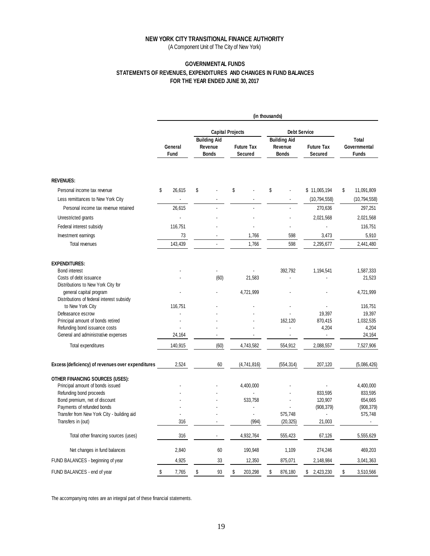(A Component Unit of The City of New York)

## **GOVERNMENTAL FUNDS STATEMENTS OF REVENUES, EXPENDITURES AND CHANGES IN FUND BALANCES FOR THE YEAR ENDED JUNE 30, 2017**

|                                                   |                        | (in thousands) |                                                |    |                              |                     |                                                |                              |    |                                       |  |
|---------------------------------------------------|------------------------|----------------|------------------------------------------------|----|------------------------------|---------------------|------------------------------------------------|------------------------------|----|---------------------------------------|--|
|                                                   |                        |                | <b>Capital Projects</b>                        |    |                              | <b>Debt Service</b> |                                                |                              |    |                                       |  |
|                                                   | General<br><b>Fund</b> |                | <b>Building Aid</b><br>Revenue<br><b>Bonds</b> |    | <b>Future Tax</b><br>Secured |                     | <b>Building Aid</b><br>Revenue<br><b>Bonds</b> | <b>Future Tax</b><br>Secured |    | Total<br>Governmental<br><b>Funds</b> |  |
| <b>REVENUES:</b>                                  |                        |                |                                                |    |                              |                     |                                                |                              |    |                                       |  |
| Personal income tax revenue                       | \$<br>26,615           | \$             |                                                | \$ |                              | \$                  |                                                | \$11,065,194                 | \$ | 11,091,809                            |  |
| Less remittances to New York City                 |                        |                |                                                |    |                              |                     |                                                | (10, 794, 558)               |    | (10, 794, 558)                        |  |
| Personal income tax revenue retained              | 26,615                 |                |                                                |    |                              |                     |                                                | 270,636                      |    | 297,251                               |  |
| Unrestricted grants                               |                        |                |                                                |    |                              |                     |                                                | 2,021,568                    |    | 2,021,568                             |  |
|                                                   |                        |                |                                                |    |                              |                     |                                                |                              |    |                                       |  |
| Federal interest subsidy                          | 116,751                |                |                                                |    |                              |                     |                                                |                              |    | 116,751                               |  |
| Investment earnings                               | 73                     |                |                                                |    | 1,766                        |                     | 598                                            | 3,473                        |    | 5,910                                 |  |
| Total revenues                                    | 143,439                |                |                                                |    | 1,766                        |                     | 598                                            | 2,295,677                    |    | 2,441,480                             |  |
| <b>EXPENDITURES:</b>                              |                        |                |                                                |    |                              |                     |                                                |                              |    |                                       |  |
| <b>Bond interest</b>                              |                        |                |                                                |    |                              |                     | 392,792                                        | 1,194,541                    |    | 1,587,333                             |  |
| Costs of debt issuance                            |                        |                | (60)                                           |    | 21,583                       |                     |                                                |                              |    | 21,523                                |  |
| Distributions to New York City for                |                        |                |                                                |    |                              |                     |                                                |                              |    |                                       |  |
| general capital program                           |                        |                |                                                |    | 4,721,999                    |                     |                                                |                              |    | 4,721,999                             |  |
| Distributions of federal interest subsidy         |                        |                |                                                |    |                              |                     |                                                |                              |    |                                       |  |
| to New York City<br>Defeasance escrow             | 116,751                |                |                                                |    |                              |                     |                                                | 19,397                       |    | 116,751<br>19,397                     |  |
| Principal amount of bonds retired                 |                        |                |                                                |    |                              |                     | 162,120                                        | 870,415                      |    | 1,032,535                             |  |
| Refunding bond issuance costs                     |                        |                |                                                |    |                              |                     |                                                | 4,204                        |    | 4,204                                 |  |
| General and administrative expenses               | 24,164                 |                | ÷.                                             |    | ä,                           |                     | $\blacksquare$                                 | $\overline{\phantom{a}}$     |    | 24,164                                |  |
| Total expenditures                                | 140,915                |                | (60)                                           |    | 4,743,582                    |                     | 554,912                                        | 2,088,557                    |    | 7,527,906                             |  |
|                                                   |                        |                |                                                |    |                              |                     |                                                |                              |    |                                       |  |
| Excess (deficiency) of revenues over expenditures | 2.524                  |                | 60                                             |    | (4,741,816)                  |                     | (554, 314)                                     | 207,120                      |    | (5,086,426)                           |  |
| OTHER FINANCING SOURCES (USES):                   |                        |                |                                                |    |                              |                     |                                                |                              |    |                                       |  |
| Principal amount of bonds issued                  |                        |                |                                                |    | 4,400,000                    |                     |                                                |                              |    | 4,400,000                             |  |
| Refunding bond proceeds                           |                        |                |                                                |    |                              |                     |                                                | 833,595                      |    | 833,595                               |  |
| Bond premium, net of discount                     |                        |                |                                                |    | 533,758                      |                     |                                                | 120,907                      |    | 654,665                               |  |
| Payments of refunded bonds                        |                        |                |                                                |    |                              |                     |                                                | (908, 379)                   |    | (908, 379)                            |  |
| Transfer from New York City - building aid        |                        |                |                                                |    |                              |                     | 575,748                                        |                              |    | 575,748                               |  |
| Transfers in (out)                                | 316                    |                |                                                |    | (994)                        |                     | (20, 325)                                      | 21,003                       |    |                                       |  |
| Total other financing sources (uses)              | 316                    |                | ä,                                             |    | 4,932,764                    |                     | 555,423                                        | 67,126                       |    | 5,555,629                             |  |
| Net changes in fund balances                      | 2,840                  |                | 60                                             |    | 190,948                      |                     | 1,109                                          | 274,246                      |    | 469,203                               |  |
| FUND BALANCES - beginning of year                 | 4,925                  |                | 33                                             |    | 12,350                       |                     | 875,071                                        | 2,148,984                    |    | 3,041,363                             |  |
| FUND BALANCES - end of year                       | \$<br>7,765            | \$             | 93                                             | \$ | 203,298                      | \$                  | 876,180                                        | \$<br>2,423,230              | \$ | 3,510,566                             |  |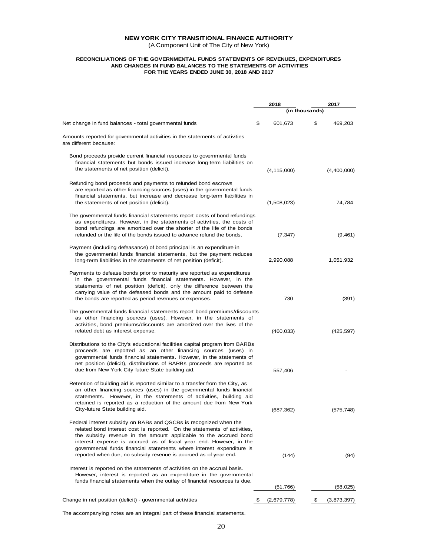(A Component Unit of The City of New York)

#### **RECONCILIATIONS OF THE GOVERNMENTAL FUNDS STATEMENTS OF REVENUES, EXPENDITURES AND CHANGES IN FUND BALANCES TO THE STATEMENTS OF ACTIVITIES FOR THE YEARS ENDED JUNE 30, 2018 AND 2017**

|                                                                                                                                                                                                                                                                                                                                                                                                                                      | 2018              | 2017              |
|--------------------------------------------------------------------------------------------------------------------------------------------------------------------------------------------------------------------------------------------------------------------------------------------------------------------------------------------------------------------------------------------------------------------------------------|-------------------|-------------------|
|                                                                                                                                                                                                                                                                                                                                                                                                                                      | (in thousands)    |                   |
| Net change in fund balances - total governmental funds                                                                                                                                                                                                                                                                                                                                                                               | \$<br>601,673     | \$<br>469,203     |
| Amounts reported for governmental activities in the statements of activities<br>are different because:                                                                                                                                                                                                                                                                                                                               |                   |                   |
| Bond proceeds provide current financial resources to governmental funds<br>financial statements but bonds issued increase long-term liabilities on<br>the statements of net position (deficit).                                                                                                                                                                                                                                      | (4, 115, 000)     | (4,400,000)       |
| Refunding bond proceeds and payments to refunded bond escrows<br>are reported as other financing sources (uses) in the governmental funds<br>financial statements, but increase and decrease long-term liabilities in<br>the statements of net position (deficit).                                                                                                                                                                   | (1,508,023)       | 74,784            |
| The governmental funds financial statements report costs of bond refundings<br>as expenditures. However, in the statements of activities, the costs of<br>bond refundings are amortized over the shorter of the life of the bonds<br>refunded or the life of the bonds issued to advance refund the bonds.                                                                                                                           | (7, 347)          | (9,461)           |
| Payment (including defeasance) of bond principal is an expenditure in<br>the governmental funds financial statements, but the payment reduces<br>long-term liabilities in the statements of net position (deficit).                                                                                                                                                                                                                  | 2,990,088         | 1,051,932         |
| Payments to defease bonds prior to maturity are reported as expenditures<br>in the governmental funds financial statements. However, in the<br>statements of net position (deficit), only the difference between the<br>carrying value of the defeased bonds and the amount paid to defease<br>the bonds are reported as period revenues or expenses.                                                                                | 730               | (391)             |
| The governmental funds financial statements report bond premiums/discounts<br>as other financing sources (uses). However, in the statements of<br>activities, bond premiums/discounts are amortized over the lives of the<br>related debt as interest expense.                                                                                                                                                                       | (460, 033)        | (425, 597)        |
| Distributions to the City's educational facilities capital program from BARBs<br>proceeds are reported as an other financing sources (uses) in<br>governmental funds financial statements. However, in the statements of<br>net position (deficit), distributions of BARBs proceeds are reported as<br>due from New York City-future State building aid.                                                                             | 557,406           |                   |
| Retention of building aid is reported similar to a transfer from the City, as<br>an other financing sources (uses) in the governmental funds financial<br>statements. However, in the statements of activities, building aid<br>retained is reported as a reduction of the amount due from New York<br>City-future State building aid.                                                                                               | (687, 362)        | (575, 748)        |
| Federal interest subsidy on BABs and QSCBs is recognized when the<br>related bond interest cost is reported. On the statements of activities,<br>the subsidy revenue in the amount applicable to the accrued bond<br>interest expense is accrued as of fiscal year end. However, in the<br>governmental funds financial statements where interest expenditure is<br>reported when due, no subsidy revenue is accrued as of year end. | (144)             | (94)              |
| Interest is reported on the statements of activities on the accrual basis.<br>However, interest is reported as an expenditure in the governmental<br>funds financial statements when the outlay of financial resources is due.                                                                                                                                                                                                       | (51, 766)         |                   |
|                                                                                                                                                                                                                                                                                                                                                                                                                                      |                   | (58, 025)         |
| Change in net position (deficit) - governmental activities                                                                                                                                                                                                                                                                                                                                                                           | (2,679,778)<br>\$ | \$<br>(3,873,397) |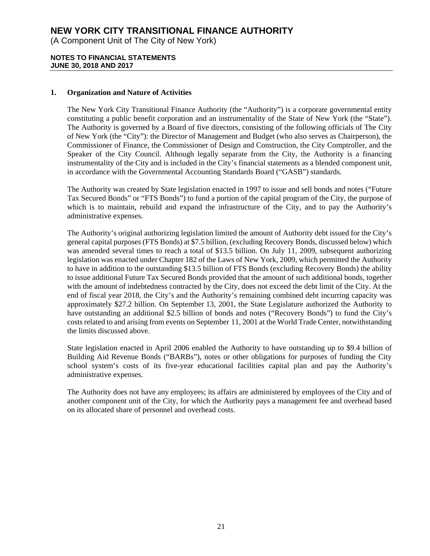(A Component Unit of The City of New York)

### **NOTES TO FINANCIAL STATEMENTS JUNE 30, 2018 AND 2017**

## **1. Organization and Nature of Activities**

The New York City Transitional Finance Authority (the "Authority") is a corporate governmental entity constituting a public benefit corporation and an instrumentality of the State of New York (the "State"). The Authority is governed by a Board of five directors, consisting of the following officials of The City of New York (the "City"): the Director of Management and Budget (who also serves as Chairperson), the Commissioner of Finance, the Commissioner of Design and Construction, the City Comptroller, and the Speaker of the City Council. Although legally separate from the City, the Authority is a financing instrumentality of the City and is included in the City's financial statements as a blended component unit, in accordance with the Governmental Accounting Standards Board ("GASB") standards.

The Authority was created by State legislation enacted in 1997 to issue and sell bonds and notes ("Future Tax Secured Bonds" or "FTS Bonds") to fund a portion of the capital program of the City, the purpose of which is to maintain, rebuild and expand the infrastructure of the City, and to pay the Authority's administrative expenses.

The Authority's original authorizing legislation limited the amount of Authority debt issued for the City's general capital purposes (FTS Bonds) at \$7.5 billion, (excluding Recovery Bonds, discussed below) which was amended several times to reach a total of \$13.5 billion. On July 11, 2009, subsequent authorizing legislation was enacted under Chapter 182 of the Laws of New York, 2009, which permitted the Authority to have in addition to the outstanding \$13.5 billion of FTS Bonds (excluding Recovery Bonds) the ability to issue additional Future Tax Secured Bonds provided that the amount of such additional bonds, together with the amount of indebtedness contracted by the City, does not exceed the debt limit of the City. At the end of fiscal year 2018, the City's and the Authority's remaining combined debt incurring capacity was approximately \$27.2 billion. On September 13, 2001, the State Legislature authorized the Authority to have outstanding an additional \$2.5 billion of bonds and notes ("Recovery Bonds") to fund the City's costs related to and arising from events on September 11, 2001 at the World Trade Center, notwithstanding the limits discussed above.

State legislation enacted in April 2006 enabled the Authority to have outstanding up to \$9.4 billion of Building Aid Revenue Bonds ("BARBs"), notes or other obligations for purposes of funding the City school system's costs of its five-year educational facilities capital plan and pay the Authority's administrative expenses.

The Authority does not have any employees; its affairs are administered by employees of the City and of another component unit of the City, for which the Authority pays a management fee and overhead based on its allocated share of personnel and overhead costs.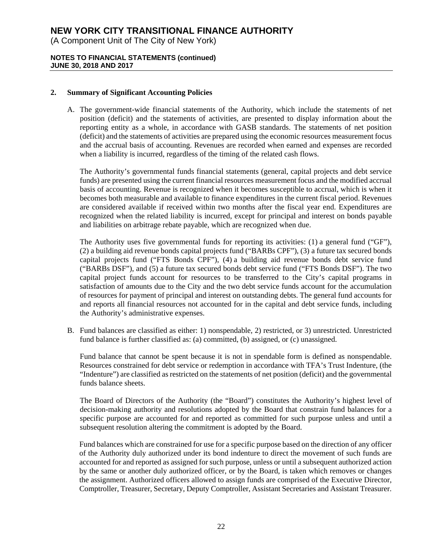(A Component Unit of The City of New York)

## **NOTES TO FINANCIAL STATEMENTS (continued) JUNE 30, 2018 AND 2017**

## **2. Summary of Significant Accounting Policies**

A. The government-wide financial statements of the Authority, which include the statements of net position (deficit) and the statements of activities, are presented to display information about the reporting entity as a whole, in accordance with GASB standards. The statements of net position (deficit) and the statements of activities are prepared using the economic resources measurement focus and the accrual basis of accounting. Revenues are recorded when earned and expenses are recorded when a liability is incurred, regardless of the timing of the related cash flows.

The Authority's governmental funds financial statements (general, capital projects and debt service funds) are presented using the current financial resources measurement focus and the modified accrual basis of accounting. Revenue is recognized when it becomes susceptible to accrual, which is when it becomes both measurable and available to finance expenditures in the current fiscal period. Revenues are considered available if received within two months after the fiscal year end. Expenditures are recognized when the related liability is incurred, except for principal and interest on bonds payable and liabilities on arbitrage rebate payable, which are recognized when due.

The Authority uses five governmental funds for reporting its activities: (1) a general fund ("GF"), (2) a building aid revenue bonds capital projects fund ("BARBs CPF"), (3) a future tax secured bonds capital projects fund ("FTS Bonds CPF"), (4) a building aid revenue bonds debt service fund ("BARBs DSF"), and (5) a future tax secured bonds debt service fund ("FTS Bonds DSF"). The two capital project funds account for resources to be transferred to the City's capital programs in satisfaction of amounts due to the City and the two debt service funds account for the accumulation of resources for payment of principal and interest on outstanding debts. The general fund accounts for and reports all financial resources not accounted for in the capital and debt service funds, including the Authority's administrative expenses.

B. Fund balances are classified as either: 1) nonspendable, 2) restricted, or 3) unrestricted. Unrestricted fund balance is further classified as: (a) committed, (b) assigned, or (c) unassigned.

Fund balance that cannot be spent because it is not in spendable form is defined as nonspendable. Resources constrained for debt service or redemption in accordance with TFA's Trust Indenture, (the "Indenture") are classified as restricted on the statements of net position (deficit) and the governmental funds balance sheets.

The Board of Directors of the Authority (the "Board") constitutes the Authority's highest level of decision-making authority and resolutions adopted by the Board that constrain fund balances for a specific purpose are accounted for and reported as committed for such purpose unless and until a subsequent resolution altering the commitment is adopted by the Board.

Fund balances which are constrained for use for a specific purpose based on the direction of any officer of the Authority duly authorized under its bond indenture to direct the movement of such funds are accounted for and reported as assigned for such purpose, unless or until a subsequent authorized action by the same or another duly authorized officer, or by the Board, is taken which removes or changes the assignment. Authorized officers allowed to assign funds are comprised of the Executive Director, Comptroller, Treasurer, Secretary, Deputy Comptroller, Assistant Secretaries and Assistant Treasurer.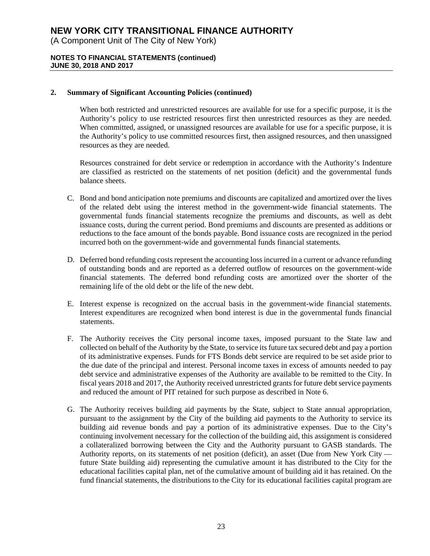(A Component Unit of The City of New York)

## **NOTES TO FINANCIAL STATEMENTS (continued) JUNE 30, 2018 AND 2017**

## **2. Summary of Significant Accounting Policies (continued)**

When both restricted and unrestricted resources are available for use for a specific purpose, it is the Authority's policy to use restricted resources first then unrestricted resources as they are needed. When committed, assigned, or unassigned resources are available for use for a specific purpose, it is the Authority's policy to use committed resources first, then assigned resources, and then unassigned resources as they are needed.

 Resources constrained for debt service or redemption in accordance with the Authority's Indenture are classified as restricted on the statements of net position (deficit) and the governmental funds balance sheets.

- C. Bond and bond anticipation note premiums and discounts are capitalized and amortized over the lives of the related debt using the interest method in the government-wide financial statements. The governmental funds financial statements recognize the premiums and discounts, as well as debt issuance costs, during the current period. Bond premiums and discounts are presented as additions or reductions to the face amount of the bonds payable. Bond issuance costs are recognized in the period incurred both on the government-wide and governmental funds financial statements.
- D. Deferred bond refunding costs represent the accounting loss incurred in a current or advance refunding of outstanding bonds and are reported as a deferred outflow of resources on the government-wide financial statements. The deferred bond refunding costs are amortized over the shorter of the remaining life of the old debt or the life of the new debt.
- E. Interest expense is recognized on the accrual basis in the government-wide financial statements. Interest expenditures are recognized when bond interest is due in the governmental funds financial statements.
- F. The Authority receives the City personal income taxes, imposed pursuant to the State law and collected on behalf of the Authority by the State, to service its future tax secured debt and pay a portion of its administrative expenses. Funds for FTS Bonds debt service are required to be set aside prior to the due date of the principal and interest. Personal income taxes in excess of amounts needed to pay debt service and administrative expenses of the Authority are available to be remitted to the City. In fiscal years 2018 and 2017, the Authority received unrestricted grants for future debt service payments and reduced the amount of PIT retained for such purpose as described in Note 6.
- G. The Authority receives building aid payments by the State, subject to State annual appropriation, pursuant to the assignment by the City of the building aid payments to the Authority to service its building aid revenue bonds and pay a portion of its administrative expenses. Due to the City's continuing involvement necessary for the collection of the building aid, this assignment is considered a collateralized borrowing between the City and the Authority pursuant to GASB standards. The Authority reports, on its statements of net position (deficit), an asset (Due from New York City future State building aid) representing the cumulative amount it has distributed to the City for the educational facilities capital plan, net of the cumulative amount of building aid it has retained. On the fund financial statements, the distributions to the City for its educational facilities capital program are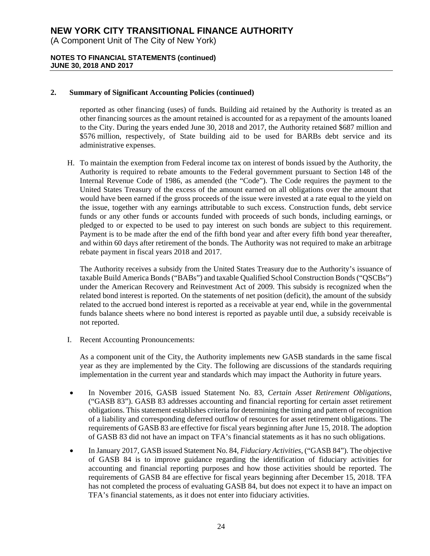(A Component Unit of The City of New York)

## **NOTES TO FINANCIAL STATEMENTS (continued) JUNE 30, 2018 AND 2017**

## **2. Summary of Significant Accounting Policies (continued)**

reported as other financing (uses) of funds. Building aid retained by the Authority is treated as an other financing sources as the amount retained is accounted for as a repayment of the amounts loaned to the City. During the years ended June 30, 2018 and 2017, the Authority retained \$687 million and \$576 million, respectively, of State building aid to be used for BARBs debt service and its administrative expenses.

H. To maintain the exemption from Federal income tax on interest of bonds issued by the Authority, the Authority is required to rebate amounts to the Federal government pursuant to Section 148 of the Internal Revenue Code of 1986, as amended (the "Code"). The Code requires the payment to the United States Treasury of the excess of the amount earned on all obligations over the amount that would have been earned if the gross proceeds of the issue were invested at a rate equal to the yield on the issue, together with any earnings attributable to such excess. Construction funds, debt service funds or any other funds or accounts funded with proceeds of such bonds, including earnings, or pledged to or expected to be used to pay interest on such bonds are subject to this requirement. Payment is to be made after the end of the fifth bond year and after every fifth bond year thereafter, and within 60 days after retirement of the bonds. The Authority was not required to make an arbitrage rebate payment in fiscal years 2018 and 2017.

The Authority receives a subsidy from the United States Treasury due to the Authority's issuance of taxable Build America Bonds ("BABs") and taxable Qualified School Construction Bonds ("QSCBs") under the American Recovery and Reinvestment Act of 2009. This subsidy is recognized when the related bond interest is reported. On the statements of net position (deficit), the amount of the subsidy related to the accrued bond interest is reported as a receivable at year end, while in the governmental funds balance sheets where no bond interest is reported as payable until due, a subsidy receivable is not reported.

I. Recent Accounting Pronouncements:

As a component unit of the City, the Authority implements new GASB standards in the same fiscal year as they are implemented by the City. The following are discussions of the standards requiring implementation in the current year and standards which may impact the Authority in future years.

- In November 2016, GASB issued Statement No. 83, *Certain Asset Retirement Obligations*, ("GASB 83"). GASB 83 addresses accounting and financial reporting for certain asset retirement obligations. This statement establishes criteria for determining the timing and pattern of recognition of a liability and corresponding deferred outflow of resources for asset retirement obligations. The requirements of GASB 83 are effective for fiscal years beginning after June 15, 2018. The adoption of GASB 83 did not have an impact on TFA's financial statements as it has no such obligations.
- In January 2017, GASB issued Statement No. 84, *Fiduciary Activities*, ("GASB 84"). The objective of GASB 84 is to improve guidance regarding the identification of fiduciary activities for accounting and financial reporting purposes and how those activities should be reported. The requirements of GASB 84 are effective for fiscal years beginning after December 15, 2018. TFA has not completed the process of evaluating GASB 84, but does not expect it to have an impact on TFA's financial statements, as it does not enter into fiduciary activities.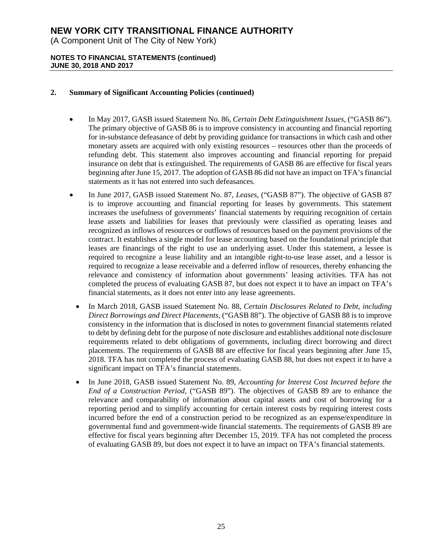(A Component Unit of The City of New York)

## **NOTES TO FINANCIAL STATEMENTS (continued) JUNE 30, 2018 AND 2017**

## **2. Summary of Significant Accounting Policies (continued)**

- In May 2017, GASB issued Statement No. 86, *Certain Debt Extinguishment Issues,* ("GASB 86"). The primary objective of GASB 86 is to improve consistency in accounting and financial reporting for in-substance defeasance of debt by providing guidance for transactions in which cash and other monetary assets are acquired with only existing resources – resources other than the proceeds of refunding debt. This statement also improves accounting and financial reporting for prepaid insurance on debt that is extinguished. The requirements of GASB 86 are effective for fiscal years beginning after June 15, 2017. The adoption of GASB 86 did not have an impact on TFA's financial statements as it has not entered into such defeasances.
- In June 2017, GASB issued Statement No. 87, *Leases*, ("GASB 87"). The objective of GASB 87 is to improve accounting and financial reporting for leases by governments. This statement increases the usefulness of governments' financial statements by requiring recognition of certain lease assets and liabilities for leases that previously were classified as operating leases and recognized as inflows of resources or outflows of resources based on the payment provisions of the contract. It establishes a single model for lease accounting based on the foundational principle that leases are financings of the right to use an underlying asset. Under this statement, a lessee is required to recognize a lease liability and an intangible right-to-use lease asset, and a lessor is required to recognize a lease receivable and a deferred inflow of resources, thereby enhancing the relevance and consistency of information about governments' leasing activities. TFA has not completed the process of evaluating GASB 87, but does not expect it to have an impact on TFA's financial statements, as it does not enter into any lease agreements.
	- In March 2018, GASB issued Statement No. 88, *Certain Disclosures Related to Debt, including Direct Borrowings and Direct Placements,* ("GASB 88"). The objective of GASB 88 is to improve consistency in the information that is disclosed in notes to government financial statements related to debt by defining debt for the purpose of note disclosure and establishes additional note disclosure requirements related to debt obligations of governments, including direct borrowing and direct placements. The requirements of GASB 88 are effective for fiscal years beginning after June 15, 2018. TFA has not completed the process of evaluating GASB 88, but does not expect it to have a significant impact on TFA's financial statements.
	- In June 2018, GASB issued Statement No. 89, *Accounting for Interest Cost Incurred before the End of a Construction Period,* ("GASB 89"). The objectives of GASB 89 are to enhance the relevance and comparability of information about capital assets and cost of borrowing for a reporting period and to simplify accounting for certain interest costs by requiring interest costs incurred before the end of a construction period to be recognized as an expense/expenditure in governmental fund and government-wide financial statements. The requirements of GASB 89 are effective for fiscal years beginning after December 15, 2019. TFA has not completed the process of evaluating GASB 89, but does not expect it to have an impact on TFA's financial statements.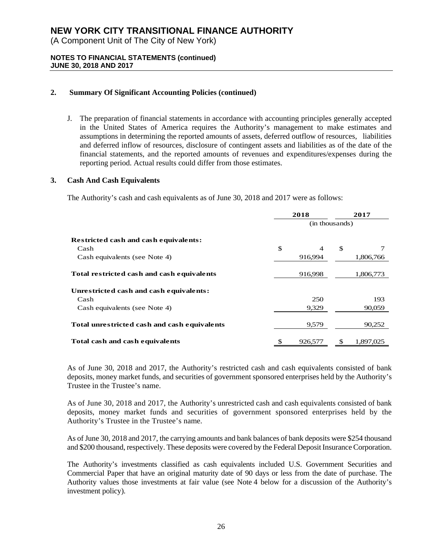(A Component Unit of The City of New York)

## **NOTES TO FINANCIAL STATEMENTS (continued) JUNE 30, 2018 AND 2017**

## **2. Summary Of Significant Accounting Policies (continued)**

J. The preparation of financial statements in accordance with accounting principles generally accepted in the United States of America requires the Authority's management to make estimates and assumptions in determining the reported amounts of assets, deferred outflow of resources, liabilities and deferred inflow of resources, disclosure of contingent assets and liabilities as of the date of the financial statements, and the reported amounts of revenues and expenditures/expenses during the reporting period. Actual results could differ from those estimates.

### **3. Cash And Cash Equivalents**

The Authority's cash and cash equivalents as of June 30, 2018 and 2017 were as follows:

|                                              | 2018                           |                | 2017      |  |  |
|----------------------------------------------|--------------------------------|----------------|-----------|--|--|
|                                              |                                | (in thousands) |           |  |  |
| <b>Restricted cash and cash equivalents:</b> |                                |                |           |  |  |
| Cash                                         | \$<br>$\overline{\mathcal{A}}$ | \$             |           |  |  |
| Cash equivalents (see Note 4)                | 916,994                        |                | 1,806,766 |  |  |
| Total restricted cash and cash equivalents   | 916,998                        |                | 1,806,773 |  |  |
| Unrestricted cash and cash equivalents:      |                                |                |           |  |  |
| Cash                                         | 250                            |                | 193       |  |  |
| Cash equivalents (see Note 4)                | 9,329                          |                | 90,059    |  |  |
| Total unrestricted cash and cash equivalents | 9,579                          |                | 90,252    |  |  |
| Total cash and cash equivalents              | 926,577                        | S              | 1.897.025 |  |  |

As of June 30, 2018 and 2017, the Authority's restricted cash and cash equivalents consisted of bank deposits, money market funds, and securities of government sponsored enterprises held by the Authority's Trustee in the Trustee's name.

As of June 30, 2018 and 2017, the Authority's unrestricted cash and cash equivalents consisted of bank deposits, money market funds and securities of government sponsored enterprises held by the Authority's Trustee in the Trustee's name.

As of June 30, 2018 and 2017, the carrying amounts and bank balances of bank deposits were \$254 thousand and \$200 thousand, respectively. These deposits were covered by the Federal Deposit Insurance Corporation.

The Authority's investments classified as cash equivalents included U.S. Government Securities and Commercial Paper that have an original maturity date of 90 days or less from the date of purchase. The Authority values those investments at fair value (see Note 4 below for a discussion of the Authority's investment policy).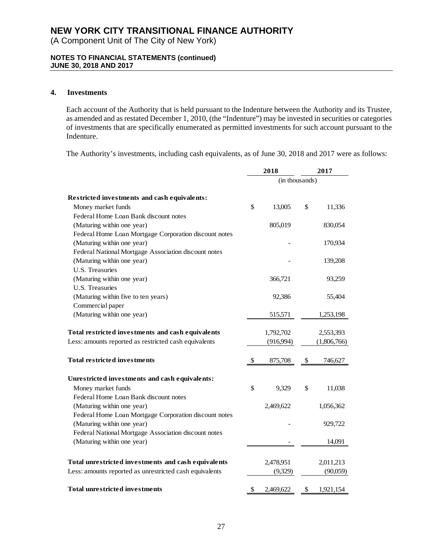(A Component Unit of The City of New York)

## **NOTES TO FINANCIAL STATEMENTS (continued) JUNE 30, 2018 AND 2017**

## **4. Investments**

Each account of the Authority that is held pursuant to the Indenture between the Authority and its Trustee, as amended and as restated December 1, 2010, (the "Indenture") may be invested in securities or categories of investments that are specifically enumerated as permitted investments for such account pursuant to the Indenture.

The Authority's investments, including cash equivalents, as of June 30, 2018 and 2017 were as follows:

|                                                         | 2018            | 2017            |
|---------------------------------------------------------|-----------------|-----------------|
|                                                         | (in thousands)  |                 |
| Restricted investments and cash equivalents:            |                 |                 |
| Money market funds                                      | \$<br>13,005    | \$<br>11,336    |
| Federal Home Loan Bank discount notes                   |                 |                 |
| (Maturing within one year)                              | 805,019         | 830,054         |
| Federal Home Loan Mortgage Corporation discount notes   |                 |                 |
| (Maturing within one year)                              |                 | 170,934         |
| Federal National Mortgage Association discount notes    |                 |                 |
| (Maturing within one year)                              |                 | 139,208         |
| U.S. Treasuries                                         |                 |                 |
| (Maturing within one year)                              | 366,721         | 93,259          |
| U.S. Treasuries                                         |                 |                 |
| (Maturing within five to ten years)                     | 92,386          | 55,404          |
| Commercial paper                                        |                 |                 |
| (Maturing within one year)                              | 515,571         | 1,253,198       |
| Total restricted investments and cash equivalents       | 1,792,702       | 2,553,393       |
| Less: amounts reported as restricted cash equivalents   | (916, 994)      | (1,806,766)     |
| <b>Total restricted investments</b>                     | \$<br>875,708   | \$<br>746,627   |
| Unrestricted investments and cash equivalents:          |                 |                 |
| Money market funds                                      | \$<br>9,329     | \$<br>11,038    |
| Federal Home Loan Bank discount notes                   |                 |                 |
| (Maturing within one year)                              | 2,469,622       | 1,056,362       |
| Federal Home Loan Mortgage Corporation discount notes   |                 |                 |
| (Maturing within one year)                              |                 | 929,722         |
| Federal National Mortgage Association discount notes    |                 |                 |
| (Maturing within one year)                              |                 | 14,091          |
| Total unrestricted investments and cash equivalents     | 2,478,951       | 2,011,213       |
| Less: amounts reported as unrestricted cash equivalents | (9,329)         | (90,059)        |
|                                                         |                 |                 |
| <b>Total unrestricted investments</b>                   | \$<br>2,469,622 | \$<br>1,921,154 |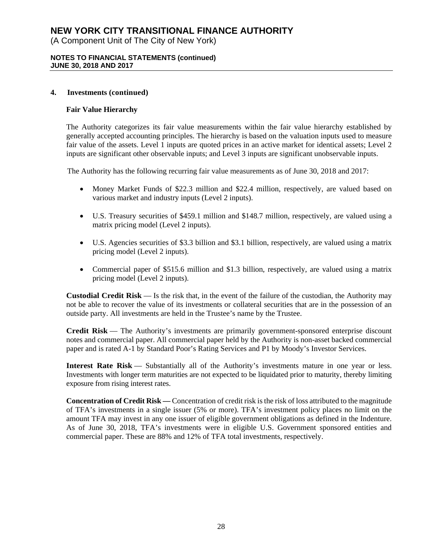(A Component Unit of The City of New York)

### **NOTES TO FINANCIAL STATEMENTS (continued) JUNE 30, 2018 AND 2017**

### **4. Investments (continued)**

## **Fair Value Hierarchy**

The Authority categorizes its fair value measurements within the fair value hierarchy established by generally accepted accounting principles. The hierarchy is based on the valuation inputs used to measure fair value of the assets. Level 1 inputs are quoted prices in an active market for identical assets; Level 2 inputs are significant other observable inputs; and Level 3 inputs are significant unobservable inputs.

The Authority has the following recurring fair value measurements as of June 30, 2018 and 2017:

- Money Market Funds of \$22.3 million and \$22.4 million, respectively, are valued based on various market and industry inputs (Level 2 inputs).
- U.S. Treasury securities of \$459.1 million and \$148.7 million, respectively, are valued using a matrix pricing model (Level 2 inputs).
- U.S. Agencies securities of \$3.3 billion and \$3.1 billion, respectively, are valued using a matrix pricing model (Level 2 inputs).
- Commercial paper of \$515.6 million and \$1.3 billion, respectively, are valued using a matrix pricing model (Level 2 inputs).

**Custodial Credit Risk** — Is the risk that, in the event of the failure of the custodian, the Authority may not be able to recover the value of its investments or collateral securities that are in the possession of an outside party. All investments are held in the Trustee's name by the Trustee.

**Credit Risk** — The Authority's investments are primarily government-sponsored enterprise discount notes and commercial paper. All commercial paper held by the Authority is non-asset backed commercial paper and is rated A-1 by Standard Poor's Rating Services and P1 by Moody's Investor Services.

**Interest Rate Risk** — Substantially all of the Authority's investments mature in one year or less. Investments with longer term maturities are not expected to be liquidated prior to maturity, thereby limiting exposure from rising interest rates.

**Concentration of Credit Risk —** Concentration of credit risk is the risk of loss attributed to the magnitude of TFA's investments in a single issuer (5% or more). TFA's investment policy places no limit on the amount TFA may invest in any one issuer of eligible government obligations as defined in the Indenture. As of June 30, 2018, TFA's investments were in eligible U.S. Government sponsored entities and commercial paper. These are 88% and 12% of TFA total investments, respectively.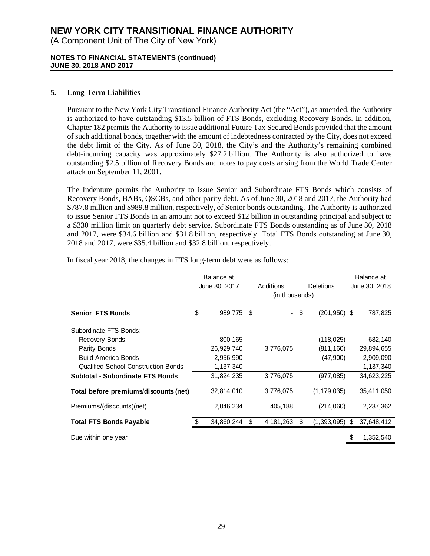(A Component Unit of The City of New York)

## **NOTES TO FINANCIAL STATEMENTS (continued) JUNE 30, 2018 AND 2017**

## **5. Long-Term Liabilities**

Pursuant to the New York City Transitional Finance Authority Act (the "Act"), as amended, the Authority is authorized to have outstanding \$13.5 billion of FTS Bonds, excluding Recovery Bonds. In addition, Chapter 182 permits the Authority to issue additional Future Tax Secured Bonds provided that the amount of such additional bonds, together with the amount of indebtedness contracted by the City, does not exceed the debt limit of the City. As of June 30, 2018, the City's and the Authority's remaining combined debt-incurring capacity was approximately \$27.2 billion. The Authority is also authorized to have outstanding \$2.5 billion of Recovery Bonds and notes to pay costs arising from the World Trade Center attack on September 11, 2001.

The Indenture permits the Authority to issue Senior and Subordinate FTS Bonds which consists of Recovery Bonds, BABs, QSCBs, and other parity debt. As of June 30, 2018 and 2017, the Authority had \$787.8 million and \$989.8 million, respectively, of Senior bonds outstanding. The Authority is authorized to issue Senior FTS Bonds in an amount not to exceed \$12 billion in outstanding principal and subject to a \$330 million limit on quarterly debt service. Subordinate FTS Bonds outstanding as of June 30, 2018 and 2017, were \$34.6 billion and \$31.8 billion, respectively. Total FTS Bonds outstanding at June 30, 2018 and 2017, were \$35.4 billion and \$32.8 billion, respectively.

In fiscal year 2018, the changes in FTS long-term debt were as follows:

|                                            | Balance at<br>June 30, 2017 |    | Additions<br>(in thousands) |      | <b>Deletions</b> | Balance at<br>June 30, 2018 |
|--------------------------------------------|-----------------------------|----|-----------------------------|------|------------------|-----------------------------|
| <b>Senior FTS Bonds</b>                    | \$<br>989,775               | S  |                             | - \$ | $(201, 950)$ \$  | 787,825                     |
| Subordinate FTS Bonds:                     |                             |    |                             |      |                  |                             |
| Recovery Bonds                             | 800,165                     |    |                             |      | (118, 025)       | 682,140                     |
| Parity Bonds                               | 26,929,740                  |    | 3,776,075                   |      | (811, 160)       | 29,894,655                  |
| <b>Build America Bonds</b>                 | 2,956,990                   |    |                             |      | (47,900)         | 2,909,090                   |
| <b>Qualified School Construction Bonds</b> | 1,137,340                   |    |                             |      |                  | 1,137,340                   |
| <b>Subtotal - Subordinate FTS Bonds</b>    | 31,824,235                  |    | 3,776,075                   |      | (977, 085)       | 34,623,225                  |
| Total before premiums/discounts (net)      | 32,814,010                  |    | 3,776,075                   |      | (1, 179, 035)    | 35,411,050                  |
| Premiums/(discounts)(net)                  | 2,046,234                   |    | 405,188                     |      | (214,060)        | 2,237,362                   |
| <b>Total FTS Bonds Payable</b>             | 34,860,244                  | \$ | 4,181,263                   | \$   | $(1,393,095)$ \$ | 37,648,412                  |
| Due within one year                        |                             |    |                             |      |                  | \$<br>1,352,540             |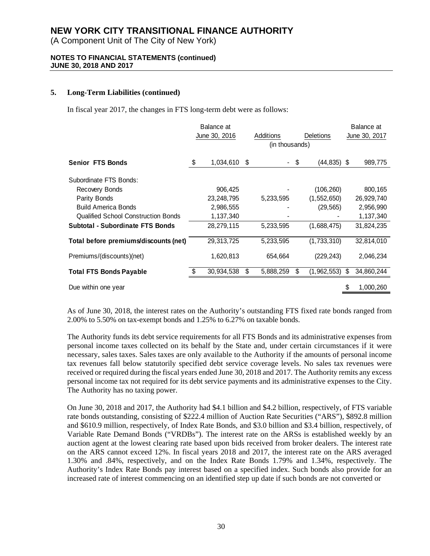(A Component Unit of The City of New York)

### **NOTES TO FINANCIAL STATEMENTS (continued) JUNE 30, 2018 AND 2017**

## **5. Long-Term Liabilities (continued)**

In fiscal year 2017, the changes in FTS long-term debt were as follows:

|                                            | Balance at<br>June 30, 2016 |      | Additions<br>(in thousands) | <b>Deletions</b> |                  |    | Balance at<br>June 30, 2017 |
|--------------------------------------------|-----------------------------|------|-----------------------------|------------------|------------------|----|-----------------------------|
| <b>Senior FTS Bonds</b>                    | \$<br>1,034,610             | - \$ |                             | - \$             | $(44, 835)$ \$   |    | 989,775                     |
| Subordinate FTS Bonds:                     |                             |      |                             |                  |                  |    |                             |
| Recovery Bonds                             | 906,425                     |      |                             |                  | (106, 260)       |    | 800,165                     |
| Parity Bonds                               | 23, 248, 795                |      | 5,233,595                   |                  | (1,552,650)      |    | 26,929,740                  |
| <b>Build America Bonds</b>                 | 2,986,555                   |      |                             |                  | (29, 565)        |    | 2,956,990                   |
| <b>Qualified School Construction Bonds</b> | 1,137,340                   |      |                             |                  |                  |    | 1,137,340                   |
| Subtotal - Subordinate FTS Bonds           | 28,279,115                  |      | 5,233,595                   |                  | (1,688,475)      |    | 31,824,235                  |
| Total before premiums/discounts (net)      | 29,313,725                  |      | 5,233,595                   |                  | (1,733,310)      |    | 32,814,010                  |
| Premiums/(discounts)(net)                  | 1,620,813                   |      | 654,664                     |                  | (229, 243)       |    | 2,046,234                   |
| <b>Total FTS Bonds Payable</b>             | 30,934,538                  | \$   | 5,888,259                   | \$               | $(1,962,553)$ \$ |    | 34,860,244                  |
| Due within one year                        |                             |      |                             |                  |                  | \$ | 1,000,260                   |

As of June 30, 2018, the interest rates on the Authority's outstanding FTS fixed rate bonds ranged from 2.00% to 5.50% on tax-exempt bonds and 1.25% to 6.27% on taxable bonds.

The Authority funds its debt service requirements for all FTS Bonds and its administrative expenses from personal income taxes collected on its behalf by the State and, under certain circumstances if it were necessary, sales taxes. Sales taxes are only available to the Authority if the amounts of personal income tax revenues fall below statutorily specified debt service coverage levels. No sales tax revenues were received or required during the fiscal years ended June 30, 2018 and 2017. The Authority remits any excess personal income tax not required for its debt service payments and its administrative expenses to the City. The Authority has no taxing power.

On June 30, 2018 and 2017, the Authority had \$4.1 billion and \$4.2 billion, respectively, of FTS variable rate bonds outstanding, consisting of \$222.4 million of Auction Rate Securities ("ARS"), \$892.8 million and \$610.9 million, respectively, of Index Rate Bonds, and \$3.0 billion and \$3.4 billion, respectively, of Variable Rate Demand Bonds ("VRDBs"). The interest rate on the ARSs is established weekly by an auction agent at the lowest clearing rate based upon bids received from broker dealers. The interest rate on the ARS cannot exceed 12%. In fiscal years 2018 and 2017, the interest rate on the ARS averaged 1.30% and .84%, respectively, and on the Index Rate Bonds 1.79% and 1.34%, respectively. The Authority's Index Rate Bonds pay interest based on a specified index. Such bonds also provide for an increased rate of interest commencing on an identified step up date if such bonds are not converted or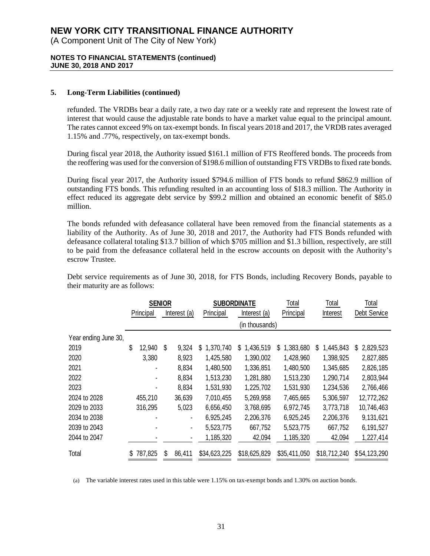(A Component Unit of The City of New York)

### **NOTES TO FINANCIAL STATEMENTS (continued) JUNE 30, 2018 AND 2017**

### **5. Long-Term Liabilities (continued)**

refunded. The VRDBs bear a daily rate, a two day rate or a weekly rate and represent the lowest rate of interest that would cause the adjustable rate bonds to have a market value equal to the principal amount. The rates cannot exceed 9% on tax-exempt bonds. In fiscal years 2018 and 2017, the VRDB rates averaged 1.15% and .77%, respectively, on tax-exempt bonds.

During fiscal year 2018, the Authority issued \$161.1 million of FTS Reoffered bonds. The proceeds from the reoffering was used for the conversion of \$198.6 million of outstanding FTS VRDBs to fixed rate bonds.

During fiscal year 2017, the Authority issued \$794.6 million of FTS bonds to refund \$862.9 million of outstanding FTS bonds. This refunding resulted in an accounting loss of \$18.3 million. The Authority in effect reduced its aggregate debt service by \$99.2 million and obtained an economic benefit of \$85.0 million.

The bonds refunded with defeasance collateral have been removed from the financial statements as a liability of the Authority. As of June 30, 2018 and 2017, the Authority had FTS Bonds refunded with defeasance collateral totaling \$13.7 billion of which \$705 million and \$1.3 billion, respectively, are still to be paid from the defeasance collateral held in the escrow accounts on deposit with the Authority's escrow Trustee.

Debt service requirements as of June 30, 2018, for FTS Bonds, including Recovery Bonds, payable to their maturity are as follows:

|                      | <b>SENIOR</b>             |         |           |              | <b>SUBORDINATE</b> |                | Total           | Total          | Total           |
|----------------------|---------------------------|---------|-----------|--------------|--------------------|----------------|-----------------|----------------|-----------------|
|                      | Principal<br>Interest (a) |         | Principal | Interest (a) |                    | Interest       | Debt Service    |                |                 |
|                      |                           |         |           |              |                    | (in thousands) |                 |                |                 |
| Year ending June 30, |                           |         |           |              |                    |                |                 |                |                 |
| 2019                 | \$                        | 12,940  | S         | 9,324        | \$<br>1,370,740    | 1,436,519<br>S | 1,383,680<br>S. | 1,445,843<br>S | \$<br>2,829,523 |
| 2020                 |                           | 3,380   |           | 8,923        | 1,425,580          | 1,390,002      | 1,428,960       | 1,398,925      | 2,827,885       |
| 2021                 |                           |         |           | 8,834        | 1,480,500          | 1,336,851      | 1,480,500       | 1,345,685      | 2,826,185       |
| 2022                 |                           |         |           | 8,834        | 1,513,230          | 1,281,880      | 1,513,230       | 1,290,714      | 2,803,944       |
| 2023                 |                           |         |           | 8,834        | 1,531,930          | 1,225,702      | 1,531,930       | 1,234,536      | 2,766,466       |
| 2024 to 2028         |                           | 455,210 |           | 36,639       | 7,010,455          | 5,269,958      | 7,465,665       | 5,306,597      | 12,772,262      |
| 2029 to 2033         |                           | 316,295 |           | 5,023        | 6,656,450          | 3,768,695      | 6,972,745       | 3,773,718      | 10,746,463      |
| 2034 to 2038         |                           |         |           |              | 6,925,245          | 2,206,376      | 6,925,245       | 2,206,376      | 9,131,621       |
| 2039 to 2043         |                           |         |           | -            | 5,523,775          | 667,752        | 5,523,775       | 667,752        | 6,191,527       |
| 2044 to 2047         |                           |         |           |              | 1,185,320          | 42,094         | 1,185,320       | 42,094         | 1,227,414       |
| Total                |                           | 787,825 | S.        | 86,411       | \$34,623,225       | \$18,625,829   | \$35,411,050    | \$18,712,240   | \$54,123,290    |

(a) The variable interest rates used in this table were 1.15% on tax-exempt bonds and 1.30% on auction bonds.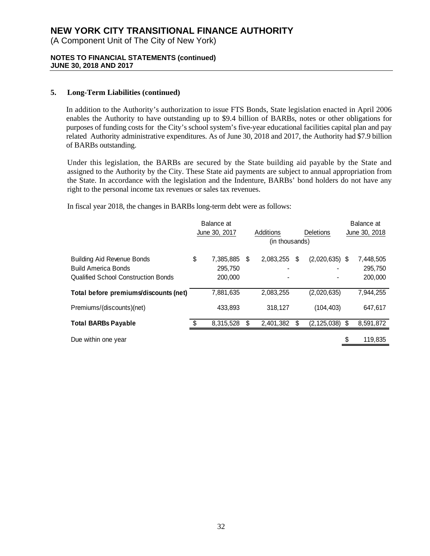(A Component Unit of The City of New York)

### **NOTES TO FINANCIAL STATEMENTS (continued) JUNE 30, 2018 AND 2017**

## **5. Long-Term Liabilities (continued)**

In addition to the Authority's authorization to issue FTS Bonds, State legislation enacted in April 2006 enables the Authority to have outstanding up to \$9.4 billion of BARBs, notes or other obligations for purposes of funding costs for the City's school system's five-year educational facilities capital plan and pay related Authority administrative expenditures. As of June 30, 2018 and 2017, the Authority had \$7.9 billion of BARBs outstanding.

Under this legislation, the BARBs are secured by the State building aid payable by the State and assigned to the Authority by the City. These State aid payments are subject to annual appropriation from the State. In accordance with the legislation and the Indenture, BARBs' bond holders do not have any right to the personal income tax revenues or sales tax revenues.

In fiscal year 2018, the changes in BARBs long-term debt were as follows:

|                                            | Balance at |               |    |                |   |                    |    | Balance at    |
|--------------------------------------------|------------|---------------|----|----------------|---|--------------------|----|---------------|
|                                            |            | June 30, 2017 |    | Additions      |   | <b>Deletions</b>   |    | June 30, 2018 |
|                                            |            |               |    | (in thousands) |   |                    |    |               |
| <b>Building Aid Revenue Bonds</b>          | \$         | 7,385,885     | -S | 2,083,255      | S | $(2,020,635)$ \$   |    | 7,448,505     |
| <b>Build America Bonds</b>                 |            | 295,750       |    |                |   |                    |    | 295,750       |
| <b>Qualified School Construction Bonds</b> |            | 200,000       |    |                |   |                    |    | 200,000       |
| Total before premiums/discounts (net)      |            | 7,881,635     |    | 2,083,255      |   | (2,020,635)        |    | 7,944,255     |
| Premiums/(discounts)(net)                  |            | 433,893       |    | 318,127        |   | (104, 403)         |    | 647,617       |
| <b>Total BARBs Payable</b>                 |            | 8,315,528     | \$ | 2,401,382      |   | $(2, 125, 038)$ \$ |    | 8,591,872     |
| Due within one year                        |            |               |    |                |   |                    | \$ | 119.835       |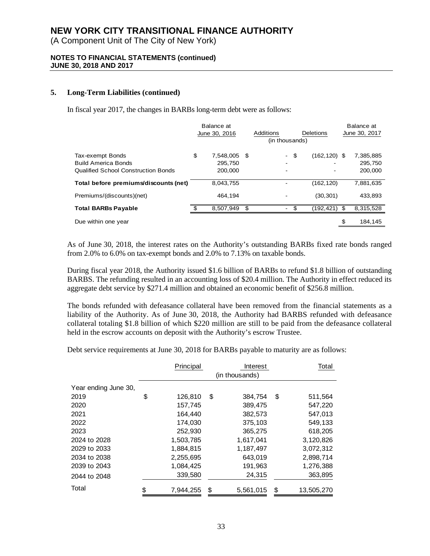(A Component Unit of The City of New York)

### **NOTES TO FINANCIAL STATEMENTS (continued) JUNE 30, 2018 AND 2017**

### **5. Long-Term Liabilities (continued)**

In fiscal year 2017, the changes in BARBs long-term debt were as follows:

|                                            | Balance at<br>June 30, 2016 |      | Additions<br>Deletions<br>(in thousands) |      |                 |  | Balance at<br>June 30, 2017 |  |  |
|--------------------------------------------|-----------------------------|------|------------------------------------------|------|-----------------|--|-----------------------------|--|--|
| Tax-exempt Bonds                           | \$<br>7,548,005             | - \$ | $\blacksquare$                           | \$   | $(162, 120)$ \$ |  | 7,385,885                   |  |  |
| <b>Build America Bonds</b>                 | 295,750                     |      |                                          |      |                 |  | 295,750                     |  |  |
| <b>Qualified School Construction Bonds</b> | 200,000                     |      |                                          |      |                 |  | 200,000                     |  |  |
| Total before premiums/discounts (net)      | 8,043,755                   |      |                                          |      | (162, 120)      |  | 7,881,635                   |  |  |
| Premiums/(discounts)(net)                  | 464.194                     |      |                                          |      | (30, 301)       |  | 433.893                     |  |  |
| <b>Total BARBs Payable</b>                 | 8,507,949                   | \$   |                                          | - \$ | $(192, 421)$ \$ |  | 8,315,528                   |  |  |
| Due within one year                        |                             |      |                                          |      |                 |  | 184,145                     |  |  |

As of June 30, 2018, the interest rates on the Authority's outstanding BARBs fixed rate bonds ranged from 2.0% to 6.0% on tax-exempt bonds and 2.0% to 7.13% on taxable bonds.

During fiscal year 2018, the Authority issued \$1.6 billion of BARBs to refund \$1.8 billion of outstanding BARBS. The refunding resulted in an accounting loss of \$20.4 million. The Authority in effect reduced its aggregate debt service by \$271.4 million and obtained an economic benefit of \$256.8 million.

The bonds refunded with defeasance collateral have been removed from the financial statements as a liability of the Authority. As of June 30, 2018, the Authority had BARBS refunded with defeasance collateral totaling \$1.8 billion of which \$220 million are still to be paid from the defeasance collateral held in the escrow accounts on deposit with the Authority's escrow Trustee.

Debt service requirements at June 30, 2018 for BARBs payable to maturity are as follows:

|                      | Principal       | Total |           |    |            |  |  |  |  |  |
|----------------------|-----------------|-------|-----------|----|------------|--|--|--|--|--|
|                      | (in thousands)  |       |           |    |            |  |  |  |  |  |
| Year ending June 30, |                 |       |           |    |            |  |  |  |  |  |
| 2019                 | \$<br>126,810   | \$    | 384.754   | \$ | 511,564    |  |  |  |  |  |
| 2020                 | 157,745         |       | 389,475   |    | 547,220    |  |  |  |  |  |
| 2021                 | 164.440         |       | 382,573   |    | 547,013    |  |  |  |  |  |
| 2022                 | 174,030         |       | 375,103   |    | 549,133    |  |  |  |  |  |
| 2023                 | 252,930         |       | 365,275   |    | 618,205    |  |  |  |  |  |
| 2024 to 2028         | 1,503,785       |       | 1,617,041 |    | 3,120,826  |  |  |  |  |  |
| 2029 to 2033         | 1,884,815       |       | 1,187,497 |    | 3,072,312  |  |  |  |  |  |
| 2034 to 2038         | 2,255,695       |       | 643,019   |    | 2,898,714  |  |  |  |  |  |
| 2039 to 2043         | 1,084,425       |       | 191,963   |    | 1,276,388  |  |  |  |  |  |
| 2044 to 2048         | 339,580         |       | 24,315    |    | 363,895    |  |  |  |  |  |
| Total                | \$<br>7,944,255 | \$    | 5,561,015 | \$ | 13,505,270 |  |  |  |  |  |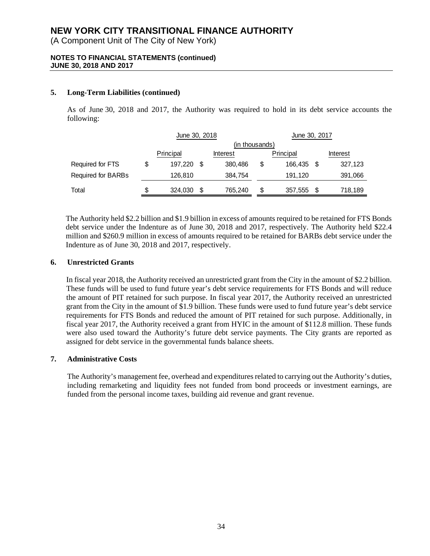(A Component Unit of The City of New York)

## **NOTES TO FINANCIAL STATEMENTS (continued) JUNE 30, 2018 AND 2017**

## **5. Long-Term Liabilities (continued)**

As of June 30, 2018 and 2017, the Authority was required to hold in its debt service accounts the following:

|                    |           | June 30, 2018  |    |          | June 30, 2017 |           |          |         |  |  |  |  |
|--------------------|-----------|----------------|----|----------|---------------|-----------|----------|---------|--|--|--|--|
|                    |           | (in thousands) |    |          |               |           |          |         |  |  |  |  |
|                    | Principal |                |    | Interest |               | Principal | Interest |         |  |  |  |  |
| Required for FTS   |           | 197,220        | -S | 380,486  | S             | 166,435   |          | 327,123 |  |  |  |  |
| Required for BARBs |           | 126,810        |    | 384,754  |               | 191,120   |          | 391,066 |  |  |  |  |
| Total              | \$        | 324,030        | S  | 765,240  | \$            | 357,555   |          | 718,189 |  |  |  |  |

The Authority held \$2.2 billion and \$1.9 billion in excess of amounts required to be retained for FTS Bonds debt service under the Indenture as of June 30, 2018 and 2017, respectively. The Authority held \$22.4 million and \$260.9 million in excess of amounts required to be retained for BARBs debt service under the Indenture as of June 30, 2018 and 2017, respectively.

## **6. Unrestricted Grants**

In fiscal year 2018, the Authority received an unrestricted grant from the City in the amount of \$2.2 billion. These funds will be used to fund future year's debt service requirements for FTS Bonds and will reduce the amount of PIT retained for such purpose. In fiscal year 2017, the Authority received an unrestricted grant from the City in the amount of \$1.9 billion. These funds were used to fund future year's debt service requirements for FTS Bonds and reduced the amount of PIT retained for such purpose. Additionally, in fiscal year 2017, the Authority received a grant from HYIC in the amount of \$112.8 million. These funds were also used toward the Authority's future debt service payments. The City grants are reported as assigned for debt service in the governmental funds balance sheets.

## **7. Administrative Costs**

The Authority's management fee, overhead and expenditures related to carrying out the Authority's duties, including remarketing and liquidity fees not funded from bond proceeds or investment earnings, are funded from the personal income taxes, building aid revenue and grant revenue.